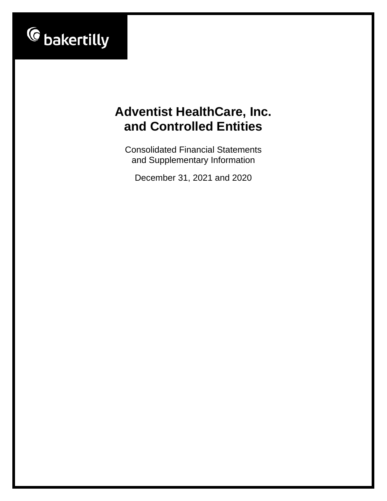

Consolidated Financial Statements and Supplementary Information

December 31, 2021 and 2020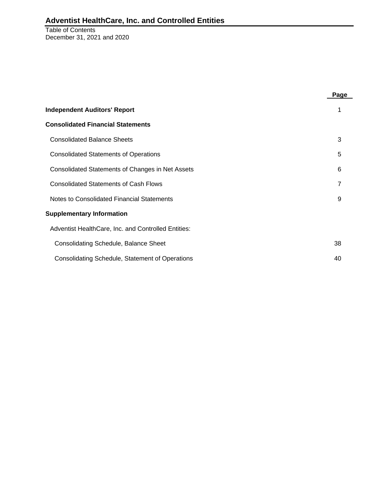Table of Contents December 31, 2021 and 2020

|                                                        | Page |
|--------------------------------------------------------|------|
| <b>Independent Auditors' Report</b>                    | 1    |
| <b>Consolidated Financial Statements</b>               |      |
| <b>Consolidated Balance Sheets</b>                     | 3    |
| <b>Consolidated Statements of Operations</b>           | 5    |
| Consolidated Statements of Changes in Net Assets       | 6    |
| <b>Consolidated Statements of Cash Flows</b>           | 7    |
| Notes to Consolidated Financial Statements             | 9    |
| <b>Supplementary Information</b>                       |      |
| Adventist HealthCare, Inc. and Controlled Entities:    |      |
| <b>Consolidating Schedule, Balance Sheet</b>           | 38   |
| <b>Consolidating Schedule, Statement of Operations</b> | 40   |

-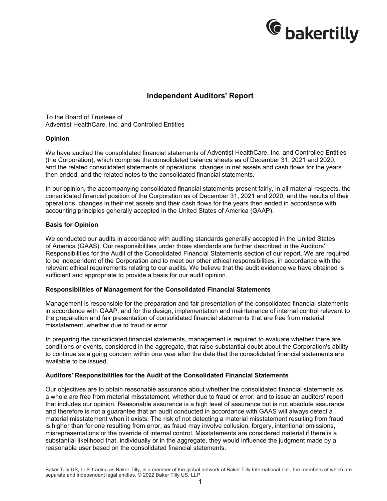

### **Independent Auditors' Report**

To the Board of Trustees of Adventist HealthCare, Inc. and Controlled Entities

#### **Opinion**

We have audited the consolidated financial statements of Adventist HealthCare, Inc. and Controlled Entities (the Corporation), which comprise the consolidated balance sheets as of December 31, 2021 and 2020, and the related consolidated statements of operations, changes in net assets and cash flows for the years then ended, and the related notes to the consolidated financial statements.

In our opinion, the accompanying consolidated financial statements present fairly, in all material respects, the consolidated financial position of the Corporation as of December 31, 2021 and 2020, and the results of their operations, changes in their net assets and their cash flows for the years then ended in accordance with accounting principles generally accepted in the United States of America (GAAP).

#### **Basis for Opinion**

We conducted our audits in accordance with auditing standards generally accepted in the United States of America (GAAS). Our responsibilities under those standards are further described in the Auditors' Responsibilities for the Audit of the Consolidated Financial Statements section of our report. We are required to be independent of the Corporation and to meet our other ethical responsibilities, in accordance with the relevant ethical requirements relating to our audits. We believe that the audit evidence we have obtained is sufficient and appropriate to provide a basis for our audit opinion.

#### **Responsibilities of Management for the Consolidated Financial Statements**

Management is responsible for the preparation and fair presentation of the consolidated financial statements in accordance with GAAP, and for the design, implementation and maintenance of internal control relevant to the preparation and fair presentation of consolidated financial statements that are free from material misstatement, whether due to fraud or error.

In preparing the consolidated financial statements, management is required to evaluate whether there are conditions or events, considered in the aggregate, that raise substantial doubt about the Corporation's ability to continue as a going concern within one year after the date that the consolidated financial statements are available to be issued.

#### **Auditors' Responsibilities for the Audit of the Consolidated Financial Statements**

Our objectives are to obtain reasonable assurance about whether the consolidated financial statements as a whole are free from material misstatement, whether due to fraud or error, and to issue an auditors' report that includes our opinion. Reasonable assurance is a high level of assurance but is not absolute assurance and therefore is not a guarantee that an audit conducted in accordance with GAAS will always detect a material misstatement when it exists. The risk of not detecting a material misstatement resulting from fraud is higher than for one resulting from error, as fraud may involve collusion, forgery, intentional omissions, misrepresentations or the override of internal control. Misstatements are considered material if there is a substantial likelihood that, individually or in the aggregate, they would influence the judgment made by a reasonable user based on the consolidated financial statements.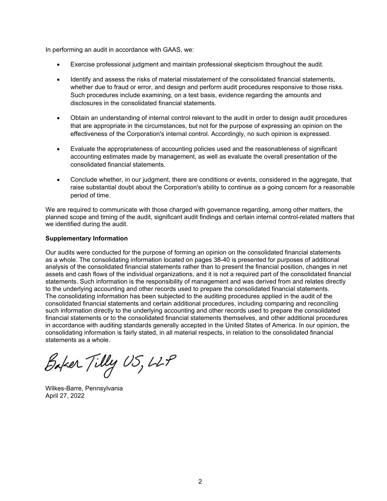In performing an audit in accordance with GAAS, we:

- Exercise professional judgment and maintain professional skepticism throughout the audit.
- Identify and assess the risks of material misstatement of the consolidated financial statements, whether due to fraud or error, and design and perform audit procedures responsive to those risks. Such procedures include examining, on a test basis, evidence regarding the amounts and disclosures in the consolidated financial statements.
- Obtain an understanding of internal control relevant to the audit in order to design audit procedures that are appropriate in the circumstances, but not for the purpose of expressing an opinion on the effectiveness of the Corporation's internal control. Accordingly, no such opinion is expressed.
- Evaluate the appropriateness of accounting policies used and the reasonableness of significant accounting estimates made by management, as well as evaluate the overall presentation of the consolidated financial statements.
- Conclude whether, in our judgment, there are conditions or events, considered in the aggregate, that raise substantial doubt about the Corporation's ability to continue as a going concern for a reasonable period of time.

We are required to communicate with those charged with governance regarding, among other matters, the planned scope and timing of the audit, significant audit findings and certain internal control-related matters that we identified during the audit.

### **Supplementary Information**

Our audits were conducted for the purpose of forming an opinion on the consolidated financial statements as a whole. The consolidating information located on pages 38-40 is presented for purposes of additional analysis of the consolidated financial statements rather than to present the financial position, changes in net assets and cash flows of the individual organizations, and it is not a required part of the consolidated financial statements. Such information is the responsibility of management and was derived from and relates directly to the underlying accounting and other records used to prepare the consolidated financial statements. The consolidating information has been subjected to the auditing procedures applied in the audit of the consolidated financial statements and certain additional procedures, including comparing and reconciling such information directly to the underlying accounting and other records used to prepare the consolidated financial statements or to the consolidated financial statements themselves, and other additional procedures in accordance with auditing standards generally accepted in the United States of America. In our opinion, the consolidating information is fairly stated, in all material respects, in relation to the consolidated financial statements as a whole.

Baker Tilly US, LLP

Wilkes-Barre, Pennsylvania April 27, 2022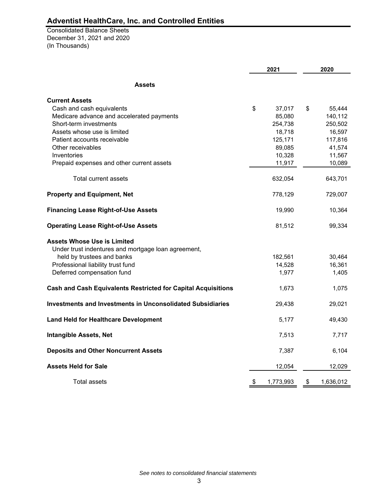(In Thousands) Consolidated Balance Sheets December 31, 2021 and 2020

|                                                                      | 2021            | 2020 |           |
|----------------------------------------------------------------------|-----------------|------|-----------|
| <b>Assets</b>                                                        |                 |      |           |
| <b>Current Assets</b>                                                |                 |      |           |
| Cash and cash equivalents                                            | \$<br>37,017    | \$   | 55,444    |
| Medicare advance and accelerated payments                            | 85,080          |      | 140,112   |
| Short-term investments                                               | 254,738         |      | 250,502   |
| Assets whose use is limited                                          | 18,718          |      | 16,597    |
| Patient accounts receivable                                          | 125,171         |      | 117,816   |
| Other receivables                                                    | 89,085          |      | 41,574    |
| Inventories                                                          | 10,328          |      | 11,567    |
| Prepaid expenses and other current assets                            | 11,917          |      | 10,089    |
| Total current assets                                                 | 632,054         |      | 643,701   |
| <b>Property and Equipment, Net</b>                                   | 778,129         |      | 729,007   |
| <b>Financing Lease Right-of-Use Assets</b>                           | 19,990          |      | 10,364    |
| <b>Operating Lease Right-of-Use Assets</b>                           | 81,512          |      | 99,334    |
| <b>Assets Whose Use is Limited</b>                                   |                 |      |           |
| Under trust indentures and mortgage loan agreement,                  |                 |      |           |
| held by trustees and banks                                           | 182,561         |      | 30,464    |
| Professional liability trust fund                                    | 14,528          |      | 16,361    |
| Deferred compensation fund                                           | 1,977           |      | 1,405     |
| <b>Cash and Cash Equivalents Restricted for Capital Acquisitions</b> | 1,673           |      | 1,075     |
| Investments and Investments in Unconsolidated Subsidiaries           | 29,438          |      | 29,021    |
| <b>Land Held for Healthcare Development</b>                          | 5,177           |      | 49,430    |
| <b>Intangible Assets, Net</b>                                        | 7,513           |      | 7,717     |
| <b>Deposits and Other Noncurrent Assets</b>                          | 7,387           |      | 6,104     |
| <b>Assets Held for Sale</b>                                          | 12,054          |      | 12,029    |
| Total assets                                                         | \$<br>1,773,993 | \$   | 1,636,012 |

*See notes to consolidated financial statements*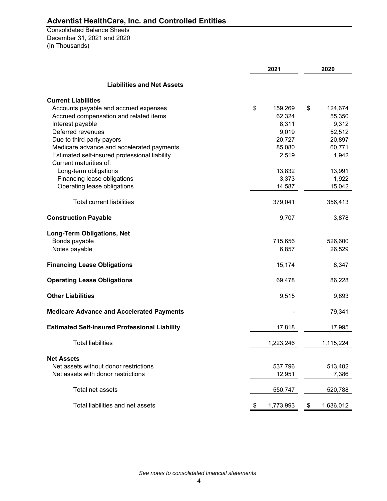(In Thousands) Consolidated Balance Sheets December 31, 2021 and 2020

|                                                      | 2021 |           | 2020 |           |
|------------------------------------------------------|------|-----------|------|-----------|
| <b>Liabilities and Net Assets</b>                    |      |           |      |           |
| <b>Current Liabilities</b>                           |      |           |      |           |
| Accounts payable and accrued expenses                | \$   | 159,269   | \$   | 124,674   |
| Accrued compensation and related items               |      | 62,324    |      | 55,350    |
| Interest payable                                     |      | 8,311     |      | 9,312     |
| Deferred revenues                                    |      | 9,019     |      | 52,512    |
| Due to third party payors                            |      | 20,727    |      | 20,897    |
| Medicare advance and accelerated payments            |      | 85,080    |      | 60,771    |
| Estimated self-insured professional liability        |      | 2,519     |      | 1,942     |
| Current maturities of:                               |      |           |      |           |
| Long-term obligations                                |      | 13,832    |      | 13,991    |
| Financing lease obligations                          |      | 3,373     |      | 1,922     |
| Operating lease obligations                          |      | 14,587    |      | 15,042    |
| <b>Total current liabilities</b>                     |      | 379,041   |      | 356,413   |
| <b>Construction Payable</b>                          |      | 9,707     |      | 3,878     |
| <b>Long-Term Obligations, Net</b>                    |      |           |      |           |
| Bonds payable                                        |      | 715,656   |      | 526,600   |
| Notes payable                                        |      | 6,857     |      | 26,529    |
| <b>Financing Lease Obligations</b>                   |      | 15,174    |      | 8,347     |
| <b>Operating Lease Obligations</b>                   |      | 69,478    |      | 86,228    |
| <b>Other Liabilities</b>                             |      | 9,515     |      | 9,893     |
| <b>Medicare Advance and Accelerated Payments</b>     |      |           |      | 79,341    |
| <b>Estimated Self-Insured Professional Liability</b> |      | 17,818    |      | 17,995    |
| <b>Total liabilities</b>                             |      | 1,223,246 |      | 1,115,224 |
| <b>Net Assets</b>                                    |      |           |      |           |
| Net assets without donor restrictions                |      | 537,796   |      | 513,402   |
| Net assets with donor restrictions                   |      | 12,951    |      | 7,386     |
| Total net assets                                     |      | 550,747   |      | 520,788   |
| Total liabilities and net assets                     | \$   | 1,773,993 | \$   | 1,636,012 |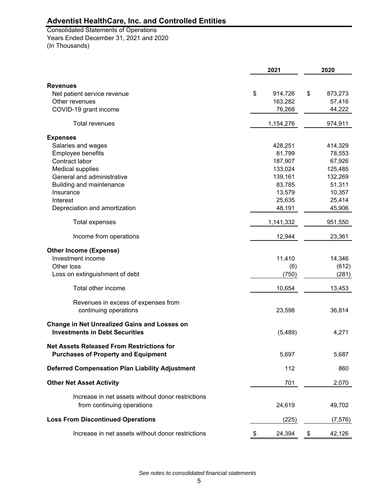(In Thousands) Consolidated Statements of Operations Years Ended December 31, 2021 and 2020

|                                                        | 2021          | 2020          |
|--------------------------------------------------------|---------------|---------------|
| <b>Revenues</b>                                        |               |               |
| Net patient service revenue                            | \$<br>914,726 | \$<br>873,273 |
| Other revenues                                         | 163,282       | 57,416        |
| COVID-19 grant income                                  | 76,268        | 44,222        |
|                                                        |               |               |
| <b>Total revenues</b>                                  | 1,154,276     | 974,911       |
| <b>Expenses</b>                                        |               |               |
| Salaries and wages                                     | 428,251       | 414,329       |
| Employee benefits                                      | 81,799        | 78,553        |
| Contract labor                                         | 187,907       | 67,926        |
| <b>Medical supplies</b>                                | 133,024       | 125,485       |
| General and administrative                             | 139,161       | 132,269       |
| Building and maintenance                               | 83,785        | 51,311        |
| Insurance                                              | 13,579        | 10,357        |
| Interest                                               | 25,635        | 25,414        |
| Depreciation and amortization                          | 48,191        | 45,906        |
| Total expenses                                         | 1,141,332     | 951,550       |
| Income from operations                                 | 12,944        | 23,361        |
| <b>Other Income (Expense)</b>                          |               |               |
| Investment income                                      | 11,410        | 14,346        |
| Other loss                                             | (6)           | (612)         |
| Loss on extinguishment of debt                         | (750)         | (281)         |
| Total other income                                     | 10,654        | 13,453        |
| Revenues in excess of expenses from                    |               |               |
| continuing operations                                  | 23,598        | 36,814        |
|                                                        |               |               |
| <b>Change in Net Unrealized Gains and Losses on</b>    |               |               |
| <b>Investments in Debt Securities</b>                  | (5,489)       | 4,271         |
| <b>Net Assets Released From Restrictions for</b>       |               |               |
| <b>Purchases of Property and Equipment</b>             | 5,697         | 5,687         |
| <b>Deferred Compensation Plan Liability Adjustment</b> | 112           | 860           |
| <b>Other Net Asset Activity</b>                        | 701           | 2,070         |
| Increase in net assets without donor restrictions      |               |               |
| from continuing operations                             | 24,619        | 49,702        |
| <b>Loss From Discontinued Operations</b>               |               |               |
|                                                        | (225)         | (7, 576)      |
| Increase in net assets without donor restrictions      | \$<br>24,394  | \$<br>42,126  |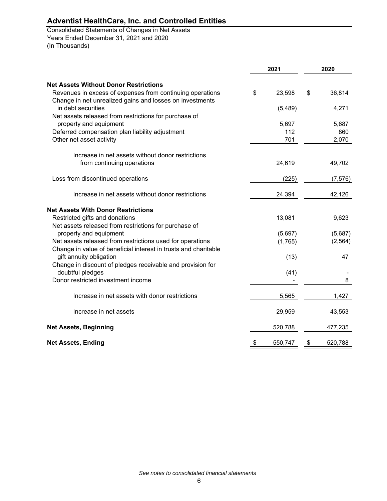(In Thousands) Consolidated Statements of Changes in Net Assets Years Ended December 31, 2021 and 2020

|                                                                                | 2021 |         | 2020 |          |
|--------------------------------------------------------------------------------|------|---------|------|----------|
| <b>Net Assets Without Donor Restrictions</b>                                   |      |         |      |          |
|                                                                                |      |         |      |          |
| Revenues in excess of expenses from continuing operations                      | \$   | 23,598  | \$   | 36,814   |
| Change in net unrealized gains and losses on investments<br>in debt securities |      |         |      |          |
|                                                                                |      | (5,489) |      | 4,271    |
| Net assets released from restrictions for purchase of                          |      | 5,697   |      |          |
| property and equipment                                                         |      |         |      | 5,687    |
| Deferred compensation plan liability adjustment                                |      | 112     |      | 860      |
| Other net asset activity                                                       |      | 701     |      | 2,070    |
| Increase in net assets without donor restrictions                              |      |         |      |          |
| from continuing operations                                                     |      | 24,619  |      | 49,702   |
|                                                                                |      |         |      |          |
| Loss from discontinued operations                                              |      | (225)   |      | (7, 576) |
| Increase in net assets without donor restrictions                              |      | 24,394  |      | 42,126   |
| <b>Net Assets With Donor Restrictions</b>                                      |      |         |      |          |
| Restricted gifts and donations                                                 |      | 13,081  |      | 9,623    |
| Net assets released from restrictions for purchase of                          |      |         |      |          |
| property and equipment                                                         |      | (5,697) |      | (5,687)  |
| Net assets released from restrictions used for operations                      |      | (1,765) |      | (2, 564) |
| Change in value of beneficial interest in trusts and charitable                |      |         |      |          |
| gift annuity obligation                                                        |      | (13)    |      | 47       |
| Change in discount of pledges receivable and provision for                     |      |         |      |          |
| doubtful pledges                                                               |      | (41)    |      |          |
| Donor restricted investment income                                             |      |         |      | 8        |
| Increase in net assets with donor restrictions                                 |      | 5,565   |      | 1,427    |
| Increase in net assets                                                         |      | 29,959  |      | 43,553   |
| <b>Net Assets, Beginning</b>                                                   |      | 520,788 |      | 477,235  |
| <b>Net Assets, Ending</b>                                                      | \$   | 550,747 | \$   | 520,788  |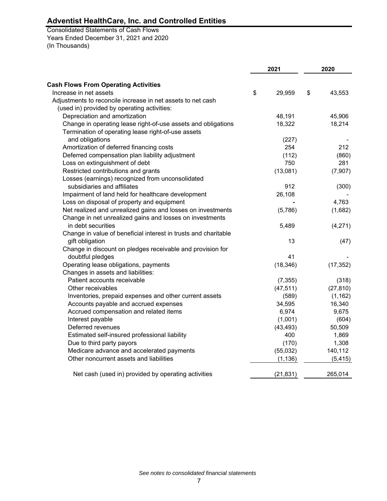(In Thousands) Consolidated Statements of Cash Flows Years Ended December 31, 2021 and 2020

|                                                                 |    | 2021      | 2020         |
|-----------------------------------------------------------------|----|-----------|--------------|
| <b>Cash Flows From Operating Activities</b>                     |    |           |              |
| Increase in net assets                                          | \$ | 29,959    | \$<br>43,553 |
| Adjustments to reconcile increase in net assets to net cash     |    |           |              |
| (used in) provided by operating activities:                     |    |           |              |
| Depreciation and amortization                                   |    | 48,191    | 45,906       |
| Change in operating lease right-of-use assets and obligations   |    | 18,322    | 18,214       |
| Termination of operating lease right-of-use assets              |    |           |              |
| and obligations                                                 |    | (227)     |              |
| Amortization of deferred financing costs                        |    | 254       | 212          |
| Deferred compensation plan liability adjustment                 |    | (112)     | (860)        |
| Loss on extinguishment of debt                                  |    | 750       | 281          |
| Restricted contributions and grants                             |    | (13,081)  | (7,907)      |
| Losses (earnings) recognized from unconsolidated                |    |           |              |
| subsidiaries and affiliates                                     |    | 912       | (300)        |
| Impairment of land held for healthcare development              |    | 26,108    |              |
| Loss on disposal of property and equipment                      |    |           | 4,763        |
| Net realized and unrealized gains and losses on investments     |    | (5,786)   | (1,682)      |
| Change in net unrealized gains and losses on investments        |    |           |              |
| in debt securities                                              |    | 5,489     | (4,271)      |
| Change in value of beneficial interest in trusts and charitable |    |           |              |
| gift obligation                                                 |    | 13        | (47)         |
| Change in discount on pledges receivable and provision for      |    |           |              |
| doubtful pledges                                                |    | 41        |              |
| Operating lease obligations, payments                           |    | (18, 346) | (17, 352)    |
| Changes in assets and liabilities:                              |    |           |              |
| Patient accounts receivable                                     |    | (7, 355)  | (318)        |
| Other receivables                                               |    | (47, 511) | (27, 810)    |
| Inventories, prepaid expenses and other current assets          |    | (589)     | (1, 162)     |
| Accounts payable and accrued expenses                           |    | 34,595    | 16,340       |
| Accrued compensation and related items                          |    | 6,974     | 9,675        |
| Interest payable                                                |    | (1,001)   | (604)        |
| Deferred revenues                                               |    | (43, 493) | 50,509       |
| Estimated self-insured professional liability                   |    | 400       | 1,869        |
| Due to third party payors                                       |    | (170)     | 1,308        |
| Medicare advance and accelerated payments                       |    | (55,032)  | 140,112      |
| Other noncurrent assets and liabilities                         |    | (1, 136)  | (5, 415)     |
| Net cash (used in) provided by operating activities             |    | (21, 831) | 265,014      |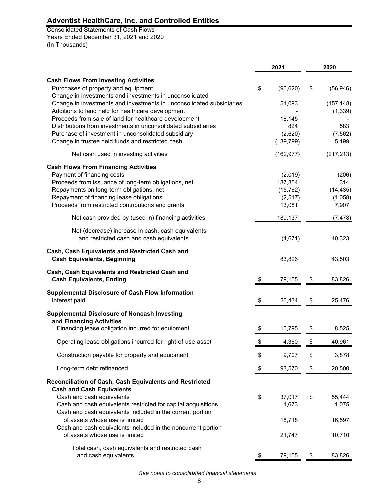(In Thousands) Consolidated Statements of Cash Flows Years Ended December 31, 2021 and 2020

| 2021                  |                                                                                                | 2020            |
|-----------------------|------------------------------------------------------------------------------------------------|-----------------|
|                       |                                                                                                | (56, 946)       |
| 51,093                |                                                                                                | (157, 148)      |
|                       |                                                                                                | (1, 339)        |
|                       |                                                                                                | 583             |
|                       |                                                                                                | (7, 562)        |
| (139, 799)            |                                                                                                | 5,199           |
| (162, 977)            |                                                                                                | (217, 213)      |
|                       |                                                                                                |                 |
|                       |                                                                                                | (206)           |
|                       |                                                                                                | 314             |
|                       |                                                                                                | (14, 435)       |
|                       |                                                                                                | (1,058)         |
|                       |                                                                                                | 7,907           |
| 180,137               |                                                                                                | (7, 478)        |
| (4,671)               |                                                                                                | 40,323          |
| 83,826                |                                                                                                | 43,503          |
| \$<br>79,155          | \$                                                                                             | 83,826          |
| \$<br>26,434          | \$                                                                                             | 25,476          |
|                       |                                                                                                |                 |
| \$<br>10,795          | \$                                                                                             | 8,525           |
| \$<br>4,360           | \$                                                                                             | 40,961          |
| \$<br>9,707           | \$                                                                                             | 3,878           |
| \$<br>93,570          | \$                                                                                             | 20,500          |
|                       |                                                                                                |                 |
| \$<br>37,017<br>1,673 | \$                                                                                             | 55,444<br>1,075 |
| 18,718                |                                                                                                | 16,597          |
| 21,747                |                                                                                                | 10,710          |
| <u>79,155</u>         |                                                                                                | 83,826          |
| \$                    | (90, 620)<br>18,145<br>824<br>(2,620)<br>(2,019)<br>187,354<br>(15, 762)<br>(2, 517)<br>13,081 | \$              |

*See notes to consolidated financial statements*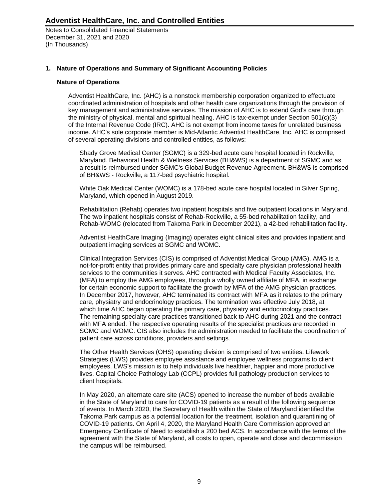Notes to Consolidated Financial Statements December 31, 2021 and 2020 (In Thousands)

### **1. Nature of Operations and Summary of Significant Accounting Policies**

#### **Nature of Operations**

Adventist HealthCare, Inc. (AHC) is a nonstock membership corporation organized to effectuate coordinated administration of hospitals and other health care organizations through the provision of key management and administrative services. The mission of AHC is to extend God's care through the ministry of physical, mental and spiritual healing. AHC is tax-exempt under Section 501(c)(3) of the Internal Revenue Code (IRC). AHC is not exempt from income taxes for unrelated business income. AHC's sole corporate member is Mid-Atlantic Adventist HealthCare, Inc. AHC is comprised of several operating divisions and controlled entities, as follows:

Shady Grove Medical Center (SGMC) is a 329-bed acute care hospital located in Rockville, Maryland. Behavioral Health & Wellness Services (BH&WS) is a department of SGMC and as a result is reimbursed under SGMC's Global Budget Revenue Agreement. BH&WS is comprised of BH&WS - Rockville, a 117-bed psychiatric hospital.

White Oak Medical Center (WOMC) is a 178-bed acute care hospital located in Silver Spring, Maryland, which opened in August 2019.

Rehabilitation (Rehab) operates two inpatient hospitals and five outpatient locations in Maryland. The two inpatient hospitals consist of Rehab-Rockville, a 55-bed rehabilitation facility, and Rehab-WOMC (relocated from Takoma Park in December 2021), a 42-bed rehabilitation facility.

Adventist HealthCare Imaging (Imaging) operates eight clinical sites and provides inpatient and outpatient imaging services at SGMC and WOMC.

Clinical Integration Services (CIS) is comprised of Adventist Medical Group (AMG). AMG is a not-for-profit entity that provides primary care and specialty care physician professional health services to the communities it serves. AHC contracted with Medical Faculty Associates, Inc. (MFA) to employ the AMG employees, through a wholly owned affiliate of MFA, in exchange for certain economic support to facilitate the growth by MFA of the AMG physician practices. In December 2017, however, AHC terminated its contract with MFA as it relates to the primary care, physiatry and endocrinology practices. The termination was effective July 2018, at which time AHC began operating the primary care, physiatry and endocrinology practices. The remaining specialty care practices transitioned back to AHC during 2021 and the contract with MFA ended. The respective operating results of the specialist practices are recorded in SGMC and WOMC. CIS also includes the administration needed to facilitate the coordination of patient care across conditions, providers and settings.

The Other Health Services (OHS) operating division is comprised of two entities. Lifework Strategies (LWS) provides employee assistance and employee wellness programs to client employees. LWS's mission is to help individuals live healthier, happier and more productive lives. Capital Choice Pathology Lab (CCPL) provides full pathology production services to client hospitals.

In May 2020, an alternate care site (ACS) opened to increase the number of beds available in the State of Maryland to care for COVID-19 patients as a result of the following sequence of events. In March 2020, the Secretary of Health within the State of Maryland identified the Takoma Park campus as a potential location for the treatment, isolation and quarantining of COVID-19 patients. On April 4, 2020, the Maryland Health Care Commission approved an Emergency Certificate of Need to establish a 200 bed ACS. In accordance with the terms of the agreement with the State of Maryland, all costs to open, operate and close and decommission the campus will be reimbursed.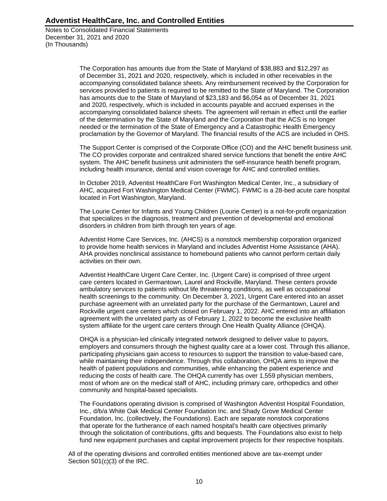Notes to Consolidated Financial Statements December 31, 2021 and 2020 (In Thousands)

> The Corporation has amounts due from the State of Maryland of \$38,883 and \$12,297 as of December 31, 2021 and 2020, respectively, which is included in other receivables in the accompanying consolidated balance sheets. Any reimbursement received by the Corporation for services provided to patients is required to be remitted to the State of Maryland. The Corporation has amounts due to the State of Maryland of \$23,183 and \$6,054 as of December 31, 2021 and 2020, respectively, which is included in accounts payable and accrued expenses in the accompanying consolidated balance sheets. The agreement will remain in effect until the earlier of the determination by the State of Maryland and the Corporation that the ACS is no longer needed or the termination of the State of Emergency and a Catastrophic Health Emergency proclamation by the Governor of Maryland. The financial results of the ACS are included in OHS.

> The Support Center is comprised of the Corporate Office (CO) and the AHC benefit business unit. The CO provides corporate and centralized shared service functions that benefit the entire AHC system. The AHC benefit business unit administers the self-insurance health benefit program, including health insurance, dental and vision coverage for AHC and controlled entities.

> In October 2019, Adventist HealthCare Fort Washington Medical Center, Inc., a subsidiary of AHC, acquired Fort Washington Medical Center (FWMC). FWMC is a 28-bed acute care hospital located in Fort Washington, Maryland.

The Lourie Center for Infants and Young Children (Lourie Center) is a not-for-profit organization that specializes in the diagnosis, treatment and prevention of developmental and emotional disorders in children from birth through ten years of age.

Adventist Home Care Services, Inc. (AHCS) is a nonstock membership corporation organized to provide home health services in Maryland and includes Adventist Home Assistance (AHA). AHA provides nonclinical assistance to homebound patients who cannot perform certain daily activities on their own.

Adventist HealthCare Urgent Care Center, Inc. (Urgent Care) is comprised of three urgent care centers located in Germantown, Laurel and Rockville, Maryland. These centers provide ambulatory services to patients without life threatening conditions, as well as occupational health screenings to the community. On December 3, 2021, Urgent Care entered into an asset purchase agreement with an unrelated party for the purchase of the Germantown, Laurel and Rockville urgent care centers which closed on February 1, 2022. AHC entered into an affiliation agreement with the unrelated party as of February 1, 2022 to become the exclusive health system affiliate for the urgent care centers through One Health Quality Alliance (OHQA).

OHQA is a physician-led clinically integrated network designed to deliver value to payors, employers and consumers through the highest quality care at a lower cost. Through this alliance, participating physicians gain access to resources to support the transition to value-based care, while maintaining their independence. Through this collaboration, OHQA aims to improve the health of patient populations and communities, while enhancing the patient experience and reducing the costs of health care. The OHQA currently has over 1,559 physician members, most of whom are on the medical staff of AHC, including primary care, orthopedics and other community and hospital-based specialists.

The Foundations operating division is comprised of Washington Adventist Hospital Foundation, Inc., d/b/a White Oak Medical Center Foundation Inc. and Shady Grove Medical Center Foundation, Inc. (collectively, the Foundations). Each are separate nonstock corporations that operate for the furtherance of each named hospital's health care objectives primarily through the solicitation of contributions, gifts and bequests. The Foundations also exist to help fund new equipment purchases and capital improvement projects for their respective hospitals.

All of the operating divisions and controlled entities mentioned above are tax-exempt under Section 501(c)(3) of the IRC.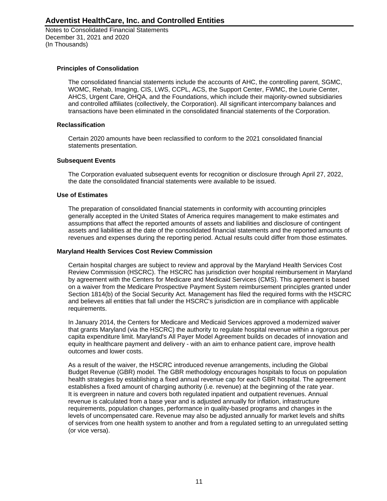Notes to Consolidated Financial Statements December 31, 2021 and 2020 (In Thousands)

### **Principles of Consolidation**

The consolidated financial statements include the accounts of AHC, the controlling parent, SGMC, WOMC, Rehab, Imaging, CIS, LWS, CCPL, ACS, the Support Center, FWMC, the Lourie Center, AHCS, Urgent Care, OHQA, and the Foundations, which include their majority-owned subsidiaries and controlled affiliates (collectively, the Corporation). All significant intercompany balances and transactions have been eliminated in the consolidated financial statements of the Corporation.

### **Reclassification**

Certain 2020 amounts have been reclassified to conform to the 2021 consolidated financial statements presentation.

### **Subsequent Events**

The Corporation evaluated subsequent events for recognition or disclosure through April 27, 2022, the date the consolidated financial statements were available to be issued.

### **Use of Estimates**

The preparation of consolidated financial statements in conformity with accounting principles generally accepted in the United States of America requires management to make estimates and assumptions that affect the reported amounts of assets and liabilities and disclosure of contingent assets and liabilities at the date of the consolidated financial statements and the reported amounts of revenues and expenses during the reporting period. Actual results could differ from those estimates.

#### **Maryland Health Services Cost Review Commission**

Certain hospital charges are subject to review and approval by the Maryland Health Services Cost Review Commission (HSCRC). The HSCRC has jurisdiction over hospital reimbursement in Maryland by agreement with the Centers for Medicare and Medicaid Services (CMS). This agreement is based on a waiver from the Medicare Prospective Payment System reimbursement principles granted under Section 1814(b) of the Social Security Act. Management has filed the required forms with the HSCRC and believes all entities that fall under the HSCRC's jurisdiction are in compliance with applicable requirements.

In January 2014, the Centers for Medicare and Medicaid Services approved a modernized waiver that grants Maryland (via the HSCRC) the authority to regulate hospital revenue within a rigorous per capita expenditure limit. Maryland's All Payer Model Agreement builds on decades of innovation and equity in healthcare payment and delivery - with an aim to enhance patient care, improve health outcomes and lower costs.

As a result of the waiver, the HSCRC introduced revenue arrangements, including the Global Budget Revenue (GBR) model. The GBR methodology encourages hospitals to focus on population health strategies by establishing a fixed annual revenue cap for each GBR hospital. The agreement establishes a fixed amount of charging authority (i.e. revenue) at the beginning of the rate year. It is evergreen in nature and covers both regulated inpatient and outpatient revenues. Annual revenue is calculated from a base year and is adjusted annually for inflation, infrastructure requirements, population changes, performance in quality-based programs and changes in the levels of uncompensated care. Revenue may also be adjusted annually for market levels and shifts of services from one health system to another and from a regulated setting to an unregulated setting (or vice versa).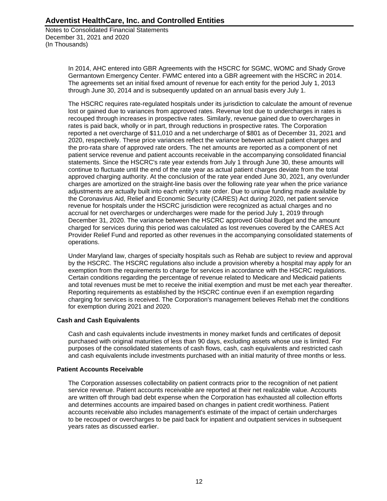Notes to Consolidated Financial Statements December 31, 2021 and 2020 (In Thousands)

> In 2014, AHC entered into GBR Agreements with the HSCRC for SGMC, WOMC and Shady Grove Germantown Emergency Center. FWMC entered into a GBR agreement with the HSCRC in 2014. The agreements set an initial fixed amount of revenue for each entity for the period July 1, 2013 through June 30, 2014 and is subsequently updated on an annual basis every July 1.

The HSCRC requires rate-regulated hospitals under its jurisdiction to calculate the amount of revenue lost or gained due to variances from approved rates. Revenue lost due to undercharges in rates is recouped through increases in prospective rates. Similarly, revenue gained due to overcharges in rates is paid back, wholly or in part, through reductions in prospective rates. The Corporation reported a net overcharge of \$11,010 and a net undercharge of \$801 as of December 31, 2021 and 2020, respectively. These price variances reflect the variance between actual patient charges and the pro-rata share of approved rate orders. The net amounts are reported as a component of net patient service revenue and patient accounts receivable in the accompanying consolidated financial statements. Since the HSCRC's rate year extends from July 1 through June 30, these amounts will continue to fluctuate until the end of the rate year as actual patient charges deviate from the total approved charging authority. At the conclusion of the rate year ended June 30, 2021, any over/under charges are amortized on the straight-line basis over the following rate year when the price variance adjustments are actually built into each entity's rate order. Due to unique funding made available by the Coronavirus Aid, Relief and Economic Security (CARES) Act during 2020, net patient service revenue for hospitals under the HSCRC jurisdiction were recognized as actual charges and no accrual for net overcharges or undercharges were made for the period July 1, 2019 through December 31, 2020. The variance between the HSCRC approved Global Budget and the amount charged for services during this period was calculated as lost revenues covered by the CARES Act Provider Relief Fund and reported as other revenues in the accompanying consolidated statements of operations.

Under Maryland law, charges of specialty hospitals such as Rehab are subject to review and approval by the HSCRC. The HSCRC regulations also include a provision whereby a hospital may apply for an exemption from the requirements to charge for services in accordance with the HSCRC regulations. Certain conditions regarding the percentage of revenue related to Medicare and Medicaid patients and total revenues must be met to receive the initial exemption and must be met each year thereafter. Reporting requirements as established by the HSCRC continue even if an exemption regarding charging for services is received. The Corporation's management believes Rehab met the conditions for exemption during 2021 and 2020.

### **Cash and Cash Equivalents**

Cash and cash equivalents include investments in money market funds and certificates of deposit purchased with original maturities of less than 90 days, excluding assets whose use is limited. For purposes of the consolidated statements of cash flows, cash, cash equivalents and restricted cash and cash equivalents include investments purchased with an initial maturity of three months or less.

#### **Patient Accounts Receivable**

The Corporation assesses collectability on patient contracts prior to the recognition of net patient service revenue. Patient accounts receivable are reported at their net realizable value. Accounts are written off through bad debt expense when the Corporation has exhausted all collection efforts and determines accounts are impaired based on changes in patient credit worthiness. Patient accounts receivable also includes management's estimate of the impact of certain undercharges to be recouped or overcharges to be paid back for inpatient and outpatient services in subsequent years rates as discussed earlier.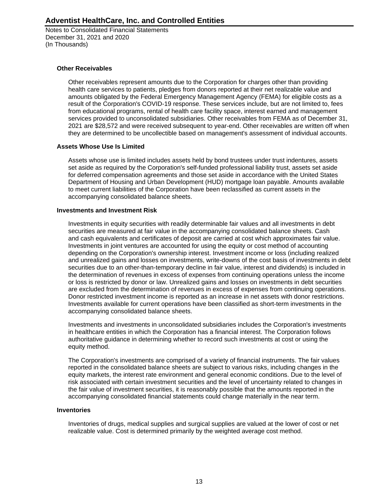Notes to Consolidated Financial Statements December 31, 2021 and 2020 (In Thousands)

### **Other Receivables**

Other receivables represent amounts due to the Corporation for charges other than providing health care services to patients, pledges from donors reported at their net realizable value and amounts obligated by the Federal Emergency Management Agency (FEMA) for eligible costs as a result of the Corporation's COVID-19 response. These services include, but are not limited to, fees from educational programs, rental of health care facility space, interest earned and management services provided to unconsolidated subsidiaries. Other receivables from FEMA as of December 31, 2021 are \$28,572 and were received subsequent to year-end. Other receivables are written off when they are determined to be uncollectible based on management's assessment of individual accounts.

### **Assets Whose Use Is Limited**

Assets whose use is limited includes assets held by bond trustees under trust indentures, assets set aside as required by the Corporation's self-funded professional liability trust, assets set aside for deferred compensation agreements and those set aside in accordance with the United States Department of Housing and Urban Development (HUD) mortgage loan payable. Amounts available to meet current liabilities of the Corporation have been reclassified as current assets in the accompanying consolidated balance sheets.

#### **Investments and Investment Risk**

Investments in equity securities with readily determinable fair values and all investments in debt securities are measured at fair value in the accompanying consolidated balance sheets. Cash and cash equivalents and certificates of deposit are carried at cost which approximates fair value. Investments in joint ventures are accounted for using the equity or cost method of accounting depending on the Corporation's ownership interest. Investment income or loss (including realized and unrealized gains and losses on investments, write-downs of the cost basis of investments in debt securities due to an other-than-temporary decline in fair value, interest and dividends) is included in the determination of revenues in excess of expenses from continuing operations unless the income or loss is restricted by donor or law. Unrealized gains and losses on investments in debt securities are excluded from the determination of revenues in excess of expenses from continuing operations. Donor restricted investment income is reported as an increase in net assets with donor restrictions. Investments available for current operations have been classified as short-term investments in the accompanying consolidated balance sheets.

Investments and investments in unconsolidated subsidiaries includes the Corporation's investments in healthcare entities in which the Corporation has a financial interest. The Corporation follows authoritative guidance in determining whether to record such investments at cost or using the equity method.

The Corporation's investments are comprised of a variety of financial instruments. The fair values reported in the consolidated balance sheets are subject to various risks, including changes in the equity markets, the interest rate environment and general economic conditions. Due to the level of risk associated with certain investment securities and the level of uncertainty related to changes in the fair value of investment securities, it is reasonably possible that the amounts reported in the accompanying consolidated financial statements could change materially in the near term.

#### **Inventories**

Inventories of drugs, medical supplies and surgical supplies are valued at the lower of cost or net realizable value. Cost is determined primarily by the weighted average cost method.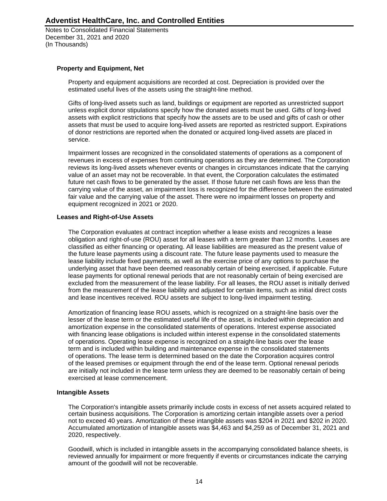Notes to Consolidated Financial Statements December 31, 2021 and 2020 (In Thousands)

### **Property and Equipment, Net**

Property and equipment acquisitions are recorded at cost. Depreciation is provided over the estimated useful lives of the assets using the straight-line method.

Gifts of long-lived assets such as land, buildings or equipment are reported as unrestricted support unless explicit donor stipulations specify how the donated assets must be used. Gifts of long-lived assets with explicit restrictions that specify how the assets are to be used and gifts of cash or other assets that must be used to acquire long-lived assets are reported as restricted support. Expirations of donor restrictions are reported when the donated or acquired long-lived assets are placed in service.

Impairment losses are recognized in the consolidated statements of operations as a component of revenues in excess of expenses from continuing operations as they are determined. The Corporation reviews its long-lived assets whenever events or changes in circumstances indicate that the carrying value of an asset may not be recoverable. In that event, the Corporation calculates the estimated future net cash flows to be generated by the asset. If those future net cash flows are less than the carrying value of the asset, an impairment loss is recognized for the difference between the estimated fair value and the carrying value of the asset. There were no impairment losses on property and equipment recognized in 2021 or 2020.

### **Leases and Right-of-Use Assets**

The Corporation evaluates at contract inception whether a lease exists and recognizes a lease obligation and right-of-use (ROU) asset for all leases with a term greater than 12 months. Leases are classified as either financing or operating. All lease liabilities are measured as the present value of the future lease payments using a discount rate. The future lease payments used to measure the lease liability include fixed payments, as well as the exercise price of any options to purchase the underlying asset that have been deemed reasonably certain of being exercised, if applicable. Future lease payments for optional renewal periods that are not reasonably certain of being exercised are excluded from the measurement of the lease liability. For all leases, the ROU asset is initially derived from the measurement of the lease liability and adjusted for certain items, such as initial direct costs and lease incentives received. ROU assets are subject to long-lived impairment testing.

Amortization of financing lease ROU assets, which is recognized on a straight-line basis over the lesser of the lease term or the estimated useful life of the asset, is included within depreciation and amortization expense in the consolidated statements of operations. Interest expense associated with financing lease obligations is included within interest expense in the consolidated statements of operations. Operating lease expense is recognized on a straight-line basis over the lease term and is included within building and maintenance expense in the consolidated statements of operations. The lease term is determined based on the date the Corporation acquires control of the leased premises or equipment through the end of the lease term. Optional renewal periods are initially not included in the lease term unless they are deemed to be reasonably certain of being exercised at lease commencement.

#### **Intangible Assets**

The Corporation's intangible assets primarily include costs in excess of net assets acquired related to certain business acquisitions. The Corporation is amortizing certain intangible assets over a period not to exceed 40 years. Amortization of these intangible assets was \$204 in 2021 and \$202 in 2020. Accumulated amortization of intangible assets was \$4,463 and \$4,259 as of December 31, 2021 and 2020, respectively.

Goodwill, which is included in intangible assets in the accompanying consolidated balance sheets, is reviewed annually for impairment or more frequently if events or circumstances indicate the carrying amount of the goodwill will not be recoverable.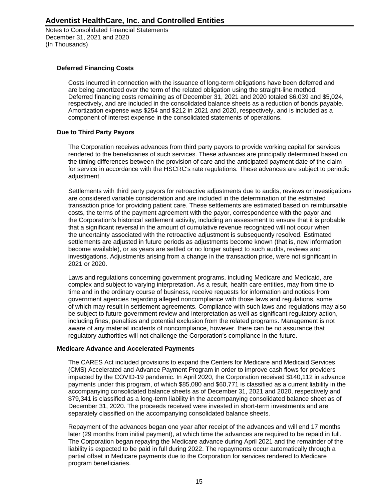Notes to Consolidated Financial Statements December 31, 2021 and 2020 (In Thousands)

### **Deferred Financing Costs**

Costs incurred in connection with the issuance of long-term obligations have been deferred and are being amortized over the term of the related obligation using the straight-line method. Deferred financing costs remaining as of December 31, 2021 and 2020 totaled \$6,039 and \$5,024, respectively, and are included in the consolidated balance sheets as a reduction of bonds payable. Amortization expense was \$254 and \$212 in 2021 and 2020, respectively, and is included as a component of interest expense in the consolidated statements of operations.

### **Due to Third Party Payors**

The Corporation receives advances from third party payors to provide working capital for services rendered to the beneficiaries of such services. These advances are principally determined based on the timing differences between the provision of care and the anticipated payment date of the claim for service in accordance with the HSCRC's rate regulations. These advances are subject to periodic adjustment.

Settlements with third party payors for retroactive adjustments due to audits, reviews or investigations are considered variable consideration and are included in the determination of the estimated transaction price for providing patient care. These settlements are estimated based on reimbursable costs, the terms of the payment agreement with the payor, correspondence with the payor and the Corporation's historical settlement activity, including an assessment to ensure that it is probable that a significant reversal in the amount of cumulative revenue recognized will not occur when the uncertainty associated with the retroactive adjustment is subsequently resolved. Estimated settlements are adjusted in future periods as adjustments become known (that is, new information become available), or as years are settled or no longer subject to such audits, reviews and investigations. Adjustments arising from a change in the transaction price, were not significant in 2021 or 2020.

Laws and regulations concerning government programs, including Medicare and Medicaid, are complex and subject to varying interpretation. As a result, health care entities, may from time to time and in the ordinary course of business, receive requests for information and notices from government agencies regarding alleged noncompliance with those laws and regulations, some of which may result in settlement agreements. Compliance with such laws and regulations may also be subject to future government review and interpretation as well as significant regulatory action, including fines, penalties and potential exclusion from the related programs. Management is not aware of any material incidents of noncompliance, however, there can be no assurance that regulatory authorities will not challenge the Corporation's compliance in the future.

#### **Medicare Advance and Accelerated Payments**

The CARES Act included provisions to expand the Centers for Medicare and Medicaid Services (CMS) Accelerated and Advance Payment Program in order to improve cash flows for providers impacted by the COVID-19 pandemic. In April 2020, the Corporation received \$140,112 in advance payments under this program, of which \$85,080 and \$60,771 is classified as a current liability in the accompanying consolidated balance sheets as of December 31, 2021 and 2020, respectively and \$79,341 is classified as a long-term liability in the accompanying consolidated balance sheet as of December 31, 2020. The proceeds received were invested in short-term investments and are separately classified on the accompanying consolidated balance sheets.

Repayment of the advances began one year after receipt of the advances and will end 17 months later (29 months from initial payment), at which time the advances are required to be repaid in full. The Corporation began repaying the Medicare advance during April 2021 and the remainder of the liability is expected to be paid in full during 2022. The repayments occur automatically through a partial offset in Medicare payments due to the Corporation for services rendered to Medicare program beneficiaries.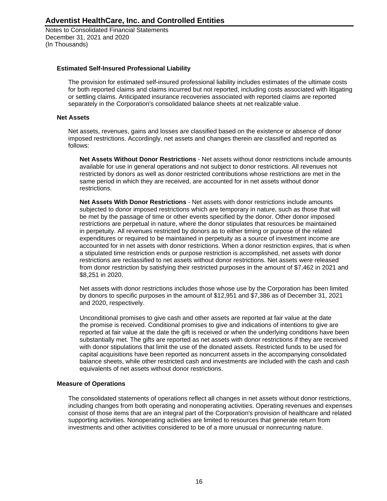Notes to Consolidated Financial Statements December 31, 2021 and 2020 (In Thousands)

#### **Estimated Self-Insured Professional Liability**

The provision for estimated self-insured professional liability includes estimates of the ultimate costs for both reported claims and claims incurred but not reported, including costs associated with litigating or settling claims. Anticipated insurance recoveries associated with reported claims are reported separately in the Corporation's consolidated balance sheets at net realizable value.

#### **Net Assets**

Net assets, revenues, gains and losses are classified based on the existence or absence of donor imposed restrictions. Accordingly, net assets and changes therein are classified and reported as follows:

**Net Assets Without Donor Restrictions** - Net assets without donor restrictions include amounts available for use in general operations and not subject to donor restrictions. All revenues not restricted by donors as well as donor restricted contributions whose restrictions are met in the same period in which they are received, are accounted for in net assets without donor restrictions.

**Net Assets With Donor Restrictions** - Net assets with donor restrictions include amounts subjected to donor imposed restrictions which are temporary in nature, such as those that will be met by the passage of time or other events specified by the donor. Other donor imposed restrictions are perpetual in nature, where the donor stipulates that resources be maintained in perpetuity. All revenues restricted by donors as to either timing or purpose of the related expenditures or required to be maintained in perpetuity as a source of investment income are accounted for in net assets with donor restrictions. When a donor restriction expires, that is when a stipulated time restriction ends or purpose restriction is accomplished, net assets with donor restrictions are reclassified to net assets without donor restrictions. Net assets were released from donor restriction by satisfying their restricted purposes in the amount of \$7,462 in 2021 and \$8,251 in 2020.

Net assets with donor restrictions includes those whose use by the Corporation has been limited by donors to specific purposes in the amount of \$12,951 and \$7,386 as of December 31, 2021 and 2020, respectively.

Unconditional promises to give cash and other assets are reported at fair value at the date the promise is received. Conditional promises to give and indications of intentions to give are reported at fair value at the date the gift is received or when the underlying conditions have been substantially met. The gifts are reported as net assets with donor restrictions if they are received with donor stipulations that limit the use of the donated assets. Restricted funds to be used for capital acquisitions have been reported as noncurrent assets in the accompanying consolidated balance sheets, while other restricted cash and investments are included with the cash and cash equivalents of net assets without donor restrictions.

#### **Measure of Operations**

The consolidated statements of operations reflect all changes in net assets without donor restrictions, including changes from both operating and nonoperating activities. Operating revenues and expenses consist of those items that are an integral part of the Corporation's provision of healthcare and related supporting activities. Nonoperating activities are limited to resources that generate return from investments and other activities considered to be of a more unusual or nonrecurring nature.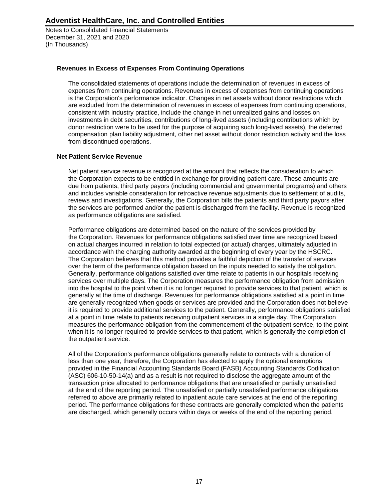Notes to Consolidated Financial Statements December 31, 2021 and 2020 (In Thousands)

### **Revenues in Excess of Expenses From Continuing Operations**

The consolidated statements of operations include the determination of revenues in excess of expenses from continuing operations. Revenues in excess of expenses from continuing operations is the Corporation's performance indicator. Changes in net assets without donor restrictions which are excluded from the determination of revenues in excess of expenses from continuing operations, consistent with industry practice, include the change in net unrealized gains and losses on investments in debt securities, contributions of long-lived assets (including contributions which by donor restriction were to be used for the purpose of acquiring such long-lived assets), the deferred compensation plan liability adjustment, other net asset without donor restriction activity and the loss from discontinued operations.

### **Net Patient Service Revenue**

Net patient service revenue is recognized at the amount that reflects the consideration to which the Corporation expects to be entitled in exchange for providing patient care. These amounts are due from patients, third party payors (including commercial and governmental programs) and others and includes variable consideration for retroactive revenue adjustments due to settlement of audits, reviews and investigations. Generally, the Corporation bills the patients and third party payors after the services are performed and/or the patient is discharged from the facility. Revenue is recognized as performance obligations are satisfied.

Performance obligations are determined based on the nature of the services provided by the Corporation. Revenues for performance obligations satisfied over time are recognized based on actual charges incurred in relation to total expected (or actual) charges, ultimately adjusted in accordance with the charging authority awarded at the beginning of every year by the HSCRC. The Corporation believes that this method provides a faithful depiction of the transfer of services over the term of the performance obligation based on the inputs needed to satisfy the obligation. Generally, performance obligations satisfied over time relate to patients in our hospitals receiving services over multiple days. The Corporation measures the performance obligation from admission into the hospital to the point when it is no longer required to provide services to that patient, which is generally at the time of discharge. Revenues for performance obligations satisfied at a point in time are generally recognized when goods or services are provided and the Corporation does not believe it is required to provide additional services to the patient. Generally, performance obligations satisfied at a point in time relate to patients receiving outpatient services in a single day. The Corporation measures the performance obligation from the commencement of the outpatient service, to the point when it is no longer required to provide services to that patient, which is generally the completion of the outpatient service.

All of the Corporation's performance obligations generally relate to contracts with a duration of less than one year, therefore, the Corporation has elected to apply the optional exemptions provided in the Financial Accounting Standards Board (FASB) Accounting Standards Codification (ASC) 606-10-50-14(a) and as a result is not required to disclose the aggregate amount of the transaction price allocated to performance obligations that are unsatisfied or partially unsatisfied at the end of the reporting period. The unsatisfied or partially unsatisfied performance obligations referred to above are primarily related to inpatient acute care services at the end of the reporting period. The performance obligations for these contracts are generally completed when the patients are discharged, which generally occurs within days or weeks of the end of the reporting period.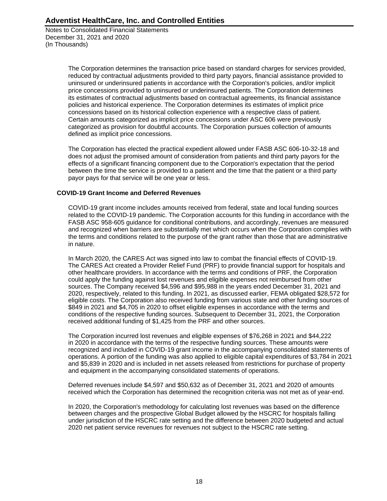Notes to Consolidated Financial Statements December 31, 2021 and 2020 (In Thousands)

> The Corporation determines the transaction price based on standard charges for services provided, reduced by contractual adjustments provided to third party payors, financial assistance provided to uninsured or underinsured patients in accordance with the Corporation's policies, and/or implicit price concessions provided to uninsured or underinsured patients. The Corporation determines its estimates of contractual adjustments based on contractual agreements, its financial assistance policies and historical experience. The Corporation determines its estimates of implicit price concessions based on its historical collection experience with a respective class of patient. Certain amounts categorized as implicit price concessions under ASC 606 were previously categorized as provision for doubtful accounts. The Corporation pursues collection of amounts defined as implicit price concessions.

The Corporation has elected the practical expedient allowed under FASB ASC 606-10-32-18 and does not adjust the promised amount of consideration from patients and third party payors for the effects of a significant financing component due to the Corporation's expectation that the period between the time the service is provided to a patient and the time that the patient or a third party payor pays for that service will be one year or less.

### **COVID-19 Grant Income and Deferred Revenues**

COVID-19 grant income includes amounts received from federal, state and local funding sources related to the COVID-19 pandemic. The Corporation accounts for this funding in accordance with the FASB ASC 958-605 guidance for conditional contributions, and accordingly, revenues are measured and recognized when barriers are substantially met which occurs when the Corporation complies with the terms and conditions related to the purpose of the grant rather than those that are administrative in nature.

In March 2020, the CARES Act was signed into law to combat the financial effects of COVID-19. The CARES Act created a Provider Relief Fund (PRF) to provide financial support for hospitals and other healthcare providers. In accordance with the terms and conditions of PRF, the Corporation could apply the funding against lost revenues and eligible expenses not reimbursed from other sources. The Company received \$4,596 and \$95,988 in the years ended December 31, 2021 and 2020, respectively, related to this funding. In 2021, as discussed earlier, FEMA obligated \$28,572 for eligible costs. The Corporation also received funding from various state and other funding sources of \$849 in 2021 and \$4,705 in 2020 to offset eligible expenses in accordance with the terms and conditions of the respective funding sources. Subsequent to December 31, 2021, the Corporation received additional funding of \$1,425 from the PRF and other sources.

The Corporation incurred lost revenues and eligible expenses of \$76,268 in 2021 and \$44,222 in 2020 in accordance with the terms of the respective funding sources. These amounts were recognized and included in COVID-19 grant income in the accompanying consolidated statements of operations. A portion of the funding was also applied to eligible capital expenditures of \$3,784 in 2021 and \$5,839 in 2020 and is included in net assets released from restrictions for purchase of property and equipment in the accompanying consolidated statements of operations.

Deferred revenues include \$4,597 and \$50,632 as of December 31, 2021 and 2020 of amounts received which the Corporation has determined the recognition criteria was not met as of year-end.

In 2020, the Corporation's methodology for calculating lost revenues was based on the difference between charges and the prospective Global Budget allowed by the HSCRC for hospitals falling under jurisdiction of the HSCRC rate setting and the difference between 2020 budgeted and actual 2020 net patient service revenues for revenues not subject to the HSCRC rate setting.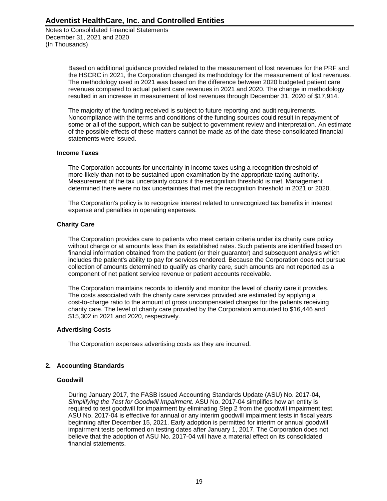Notes to Consolidated Financial Statements December 31, 2021 and 2020 (In Thousands)

> Based on additional guidance provided related to the measurement of lost revenues for the PRF and the HSCRC in 2021, the Corporation changed its methodology for the measurement of lost revenues. The methodology used in 2021 was based on the difference between 2020 budgeted patient care revenues compared to actual patient care revenues in 2021 and 2020. The change in methodology resulted in an increase in measurement of lost revenues through December 31, 2020 of \$17,914.

> The majority of the funding received is subject to future reporting and audit requirements. Noncompliance with the terms and conditions of the funding sources could result in repayment of some or all of the support, which can be subject to government review and interpretation. An estimate of the possible effects of these matters cannot be made as of the date these consolidated financial statements were issued.

#### **Income Taxes**

The Corporation accounts for uncertainty in income taxes using a recognition threshold of more-likely-than-not to be sustained upon examination by the appropriate taxing authority. Measurement of the tax uncertainty occurs if the recognition threshold is met. Management determined there were no tax uncertainties that met the recognition threshold in 2021 or 2020.

The Corporation's policy is to recognize interest related to unrecognized tax benefits in interest expense and penalties in operating expenses.

### **Charity Care**

The Corporation provides care to patients who meet certain criteria under its charity care policy without charge or at amounts less than its established rates. Such patients are identified based on financial information obtained from the patient (or their guarantor) and subsequent analysis which includes the patient's ability to pay for services rendered. Because the Corporation does not pursue collection of amounts determined to qualify as charity care, such amounts are not reported as a component of net patient service revenue or patient accounts receivable.

The Corporation maintains records to identify and monitor the level of charity care it provides. The costs associated with the charity care services provided are estimated by applying a cost-to-charge ratio to the amount of gross uncompensated charges for the patients receiving charity care. The level of charity care provided by the Corporation amounted to \$16,446 and \$15,302 in 2021 and 2020, respectively.

### **Advertising Costs**

The Corporation expenses advertising costs as they are incurred.

### **2. Accounting Standards**

#### **Goodwill**

During January 2017, the FASB issued Accounting Standards Update (ASU) No. 2017-04, *Simplifying the Test for Goodwill Impairment*. ASU No. 2017-04 simplifies how an entity is required to test goodwill for impairment by eliminating Step 2 from the goodwill impairment test. ASU No. 2017-04 is effective for annual or any interim goodwill impairment tests in fiscal years beginning after December 15, 2021. Early adoption is permitted for interim or annual goodwill impairment tests performed on testing dates after January 1, 2017. The Corporation does not believe that the adoption of ASU No. 2017-04 will have a material effect on its consolidated financial statements.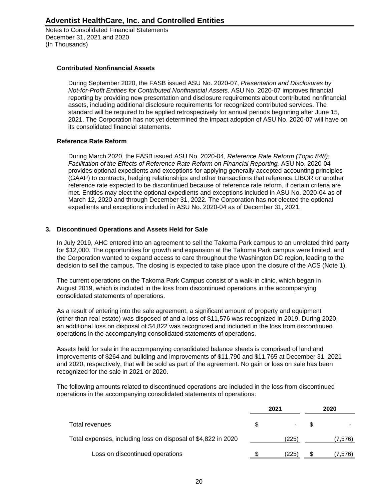Notes to Consolidated Financial Statements December 31, 2021 and 2020 (In Thousands)

### **Contributed Nonfinancial Assets**

During September 2020, the FASB issued ASU No. 2020-07, *Presentation and Disclosures by Not-for-Profit Entities for Contributed Nonfinancial Assets*. ASU No. 2020-07 improves financial reporting by providing new presentation and disclosure requirements about contributed nonfinancial assets, including additional disclosure requirements for recognized contributed services. The standard will be required to be applied retrospectively for annual periods beginning after June 15, 2021. The Corporation has not yet determined the impact adoption of ASU No. 2020-07 will have on its consolidated financial statements.

### **Reference Rate Reform**

During March 2020, the FASB issued ASU No. 2020-04, *Reference Rate Reform (Topic 848): Facilitation of the Effects of Reference Rate Reform on Financial Reporting.* ASU No. 2020-04 provides optional expedients and exceptions for applying generally accepted accounting principles (GAAP) to contracts, hedging relationships and other transactions that reference LIBOR or another reference rate expected to be discontinued because of reference rate reform, if certain criteria are met. Entities may elect the optional expedients and exceptions included in ASU No. 2020-04 as of March 12, 2020 and through December 31, 2022. The Corporation has not elected the optional expedients and exceptions included in ASU No. 2020-04 as of December 31, 2021.

### **3. Discontinued Operations and Assets Held for Sale**

In July 2019, AHC entered into an agreement to sell the Takoma Park campus to an unrelated third party for \$12,000. The opportunities for growth and expansion at the Takoma Park campus were limited, and the Corporation wanted to expand access to care throughout the Washington DC region, leading to the decision to sell the campus. The closing is expected to take place upon the closure of the ACS (Note 1).

The current operations on the Takoma Park Campus consist of a walk-in clinic, which began in August 2019, which is included in the loss from discontinued operations in the accompanying consolidated statements of operations.

As a result of entering into the sale agreement, a significant amount of property and equipment (other than real estate) was disposed of and a loss of \$11,576 was recognized in 2019. During 2020, an additional loss on disposal of \$4,822 was recognized and included in the loss from discontinued operations in the accompanying consolidated statements of operations.

Assets held for sale in the accompanying consolidated balance sheets is comprised of land and improvements of \$264 and building and improvements of \$11,790 and \$11,765 at December 31, 2021 and 2020, respectively, that will be sold as part of the agreement. No gain or loss on sale has been recognized for the sale in 2021 or 2020.

The following amounts related to discontinued operations are included in the loss from discontinued operations in the accompanying consolidated statements of operations:

|                                                               | 2021  | 2020 |         |  |
|---------------------------------------------------------------|-------|------|---------|--|
| Total revenues                                                |       |      |         |  |
| Total expenses, including loss on disposal of \$4,822 in 2020 | (225) |      | (7,576) |  |
| Loss on discontinued operations                               | (225) |      | (7,576) |  |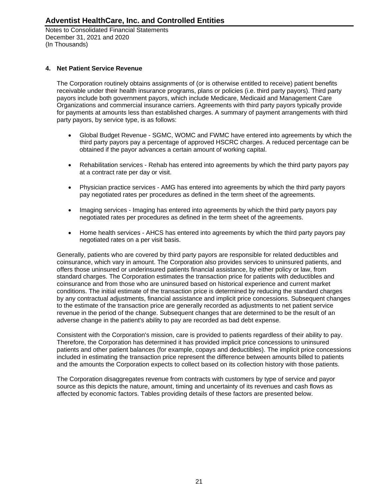Notes to Consolidated Financial Statements December 31, 2021 and 2020 (In Thousands)

### **4. Net Patient Service Revenue**

The Corporation routinely obtains assignments of (or is otherwise entitled to receive) patient benefits receivable under their health insurance programs, plans or policies (i.e. third party payors). Third party payors include both government payors, which include Medicare, Medicaid and Management Care Organizations and commercial insurance carriers. Agreements with third party payors typically provide for payments at amounts less than established charges. A summary of payment arrangements with third party payors, by service type, is as follows:

- Global Budget Revenue SGMC, WOMC and FWMC have entered into agreements by which the third party payors pay a percentage of approved HSCRC charges. A reduced percentage can be obtained if the payor advances a certain amount of working capital.
- Rehabilitation services Rehab has entered into agreements by which the third party payors pay at a contract rate per day or visit.
- Physician practice services AMG has entered into agreements by which the third party payors pay negotiated rates per procedures as defined in the term sheet of the agreements.
- Imaging services Imaging has entered into agreements by which the third party payors pay negotiated rates per procedures as defined in the term sheet of the agreements.
- Home health services AHCS has entered into agreements by which the third party payors pay negotiated rates on a per visit basis.

Generally, patients who are covered by third party payors are responsible for related deductibles and coinsurance, which vary in amount. The Corporation also provides services to uninsured patients, and offers those uninsured or underinsured patients financial assistance, by either policy or law, from standard charges. The Corporation estimates the transaction price for patients with deductibles and coinsurance and from those who are uninsured based on historical experience and current market conditions. The initial estimate of the transaction price is determined by reducing the standard charges by any contractual adjustments, financial assistance and implicit price concessions. Subsequent changes to the estimate of the transaction price are generally recorded as adjustments to net patient service revenue in the period of the change. Subsequent changes that are determined to be the result of an adverse change in the patient's ability to pay are recorded as bad debt expense.

Consistent with the Corporation's mission, care is provided to patients regardless of their ability to pay. Therefore, the Corporation has determined it has provided implicit price concessions to uninsured patients and other patient balances (for example, copays and deductibles). The implicit price concessions included in estimating the transaction price represent the difference between amounts billed to patients and the amounts the Corporation expects to collect based on its collection history with those patients.

The Corporation disaggregates revenue from contracts with customers by type of service and payor source as this depicts the nature, amount, timing and uncertainty of its revenues and cash flows as affected by economic factors. Tables providing details of these factors are presented below.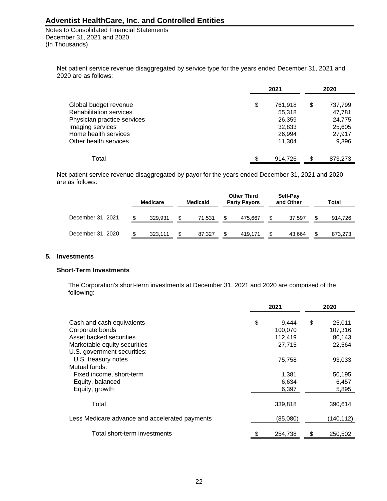Notes to Consolidated Financial Statements December 31, 2021 and 2020 (In Thousands)

Net patient service revenue disaggregated by service type for the years ended December 31, 2021 and 2020 are as follows:

|                                | 2021 |         |    | 2020    |  |  |
|--------------------------------|------|---------|----|---------|--|--|
| Global budget revenue          | \$   | 761,918 | \$ | 737,799 |  |  |
| <b>Rehabilitation services</b> |      | 55,318  |    | 47,781  |  |  |
| Physician practice services    |      | 26,359  |    | 24,775  |  |  |
| Imaging services               |      | 32,833  |    | 25,605  |  |  |
| Home health services           |      | 26,994  |    | 27,917  |  |  |
| Other health services          |      | 11,304  |    | 9,396   |  |  |
|                                |      |         |    |         |  |  |
| Total                          |      | 914.726 | S  | 873,273 |  |  |

Net patient service revenue disaggregated by payor for the years ended December 31, 2021 and 2020 are as follows:

|                   | <b>Medicare</b> | <b>Medicaid</b> | <b>Other Third</b><br><b>Party Payors</b> | Self-Pay<br>and Other | Total   |
|-------------------|-----------------|-----------------|-------------------------------------------|-----------------------|---------|
| December 31, 2021 | 329.931         | 71.531          | 475.667                                   | 37.597                | 914,726 |
| December 31, 2020 | 323,111         | 87.327          | 419.171                                   | 43.664                | 873,273 |

#### **5. Investments**

#### **Short-Term Investments**

The Corporation's short-term investments at December 31, 2021 and 2020 are comprised of the following:

|                                                | 2021 |          | 2020 |           |
|------------------------------------------------|------|----------|------|-----------|
|                                                |      |          |      |           |
| Cash and cash equivalents                      | \$   | 9,444    | \$   | 25,011    |
| Corporate bonds                                |      | 100,070  |      | 107,316   |
| Asset backed securities                        |      | 112,419  |      | 80,143    |
| Marketable equity securities                   |      | 27,715   |      | 22,564    |
| U.S. government securities:                    |      |          |      |           |
| U.S. treasury notes                            |      | 75,758   |      | 93,033    |
| Mutual funds:                                  |      |          |      |           |
| Fixed income, short-term                       |      | 1,381    |      | 50,195    |
| Equity, balanced                               |      | 6,634    |      | 6,457     |
| Equity, growth                                 |      | 6,397    |      | 5,895     |
| Total                                          |      | 339,818  |      | 390,614   |
| Less Medicare advance and accelerated payments |      | (85,080) |      | (140,112) |
| Total short-term investments                   | \$   | 254,738  | \$   | 250,502   |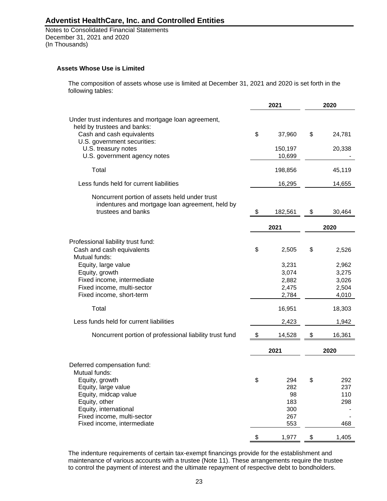Notes to Consolidated Financial Statements December 31, 2021 and 2020 (In Thousands)

#### **Assets Whose Use is Limited**

The composition of assets whose use is limited at December 31, 2021 and 2020 is set forth in the following tables:

|                                                                                                                                                                                                       |               | 2021                                         | 2020                                      |
|-------------------------------------------------------------------------------------------------------------------------------------------------------------------------------------------------------|---------------|----------------------------------------------|-------------------------------------------|
| Under trust indentures and mortgage loan agreement,<br>held by trustees and banks:<br>Cash and cash equivalents<br>U.S. government securities:<br>U.S. treasury notes<br>U.S. government agency notes | \$            | 37,960<br>150,197<br>10,699                  | \$<br>24,781<br>20,338                    |
| Total                                                                                                                                                                                                 |               | 198,856                                      | 45,119                                    |
| Less funds held for current liabilities                                                                                                                                                               |               | 16,295                                       | 14,655                                    |
| Noncurrent portion of assets held under trust<br>indentures and mortgage loan agreement, held by<br>trustees and banks                                                                                | \$<br>182,561 |                                              | \$<br>30,464                              |
|                                                                                                                                                                                                       |               | 2021                                         | 2020                                      |
| Professional liability trust fund:<br>Cash and cash equivalents<br>Mutual funds:                                                                                                                      | \$            | 2,505                                        | \$<br>2,526                               |
| Equity, large value<br>Equity, growth<br>Fixed income, intermediate<br>Fixed income, multi-sector<br>Fixed income, short-term                                                                         |               | 3,231<br>3,074<br>2,882<br>2,475<br>2,784    | 2,962<br>3,275<br>3,026<br>2,504<br>4,010 |
| Total                                                                                                                                                                                                 |               | 16,951                                       | 18,303                                    |
| Less funds held for current liabilities                                                                                                                                                               |               | 2,423                                        | 1,942                                     |
| Noncurrent portion of professional liability trust fund                                                                                                                                               | \$            | 14,528                                       | \$<br>16,361                              |
|                                                                                                                                                                                                       |               | 2021                                         | 2020                                      |
| Deferred compensation fund:<br>Mutual funds:                                                                                                                                                          |               |                                              |                                           |
| Equity, growth<br>Equity, large value<br>Equity, midcap value<br>Equity, other<br>Equity, international<br>Fixed income, multi-sector<br>Fixed income, intermediate                                   | \$            | 294<br>282<br>98<br>183<br>300<br>267<br>553 | \$<br>292<br>237<br>110<br>298<br>468     |
|                                                                                                                                                                                                       | \$            | 1,977                                        | \$<br>1,405                               |

The indenture requirements of certain tax-exempt financings provide for the establishment and maintenance of various accounts with a trustee (Note 11). These arrangements require the trustee to control the payment of interest and the ultimate repayment of respective debt to bondholders.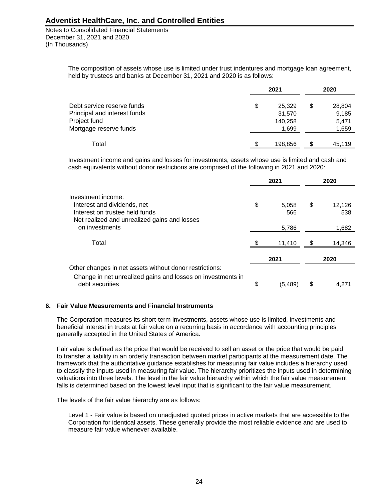Notes to Consolidated Financial Statements December 31, 2021 and 2020 (In Thousands)

> The composition of assets whose use is limited under trust indentures and mortgage loan agreement, held by trustees and banks at December 31, 2021 and 2020 is as follows:

|                              |    | 2020    |    |        |
|------------------------------|----|---------|----|--------|
| Debt service reserve funds   | \$ | 25,329  | \$ | 28,804 |
| Principal and interest funds |    | 31,570  |    | 9,185  |
| Project fund                 |    | 140,258 |    | 5,471  |
| Mortgage reserve funds       |    | 1.699   |    | 1,659  |
| Total                        |    | 198,856 |    | 45,119 |

Investment income and gains and losses for investments, assets whose use is limited and cash and cash equivalents without donor restrictions are comprised of the following in 2021 and 2020:

|                                                                                | 2021          |    | 2020   |
|--------------------------------------------------------------------------------|---------------|----|--------|
| Investment income:                                                             |               |    |        |
| Interest and dividends, net                                                    | \$<br>5.058   | \$ | 12,126 |
| Interest on trustee held funds                                                 | 566           |    | 538    |
| Net realized and unrealized gains and losses                                   |               |    |        |
| on investments                                                                 | 5,786         |    | 1,682  |
| Total                                                                          | 11,410        | S  | 14,346 |
|                                                                                | 2021          |    | 2020   |
| Other changes in net assets without donor restrictions:                        |               |    |        |
| Change in net unrealized gains and losses on investments in<br>debt securities | \$<br>(5,489) | \$ | 4.271  |

#### **6. Fair Value Measurements and Financial Instruments**

The Corporation measures its short-term investments, assets whose use is limited, investments and beneficial interest in trusts at fair value on a recurring basis in accordance with accounting principles generally accepted in the United States of America.

Fair value is defined as the price that would be received to sell an asset or the price that would be paid to transfer a liability in an orderly transaction between market participants at the measurement date. The framework that the authoritative guidance establishes for measuring fair value includes a hierarchy used to classify the inputs used in measuring fair value. The hierarchy prioritizes the inputs used in determining valuations into three levels. The level in the fair value hierarchy within which the fair value measurement falls is determined based on the lowest level input that is significant to the fair value measurement.

The levels of the fair value hierarchy are as follows:

Level 1 - Fair value is based on unadjusted quoted prices in active markets that are accessible to the Corporation for identical assets. These generally provide the most reliable evidence and are used to measure fair value whenever available.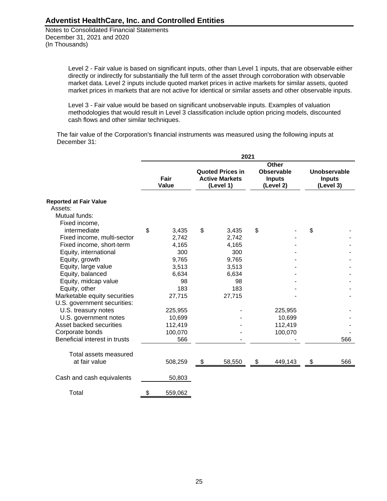Notes to Consolidated Financial Statements December 31, 2021 and 2020 (In Thousands)

> Level 2 - Fair value is based on significant inputs, other than Level 1 inputs, that are observable either directly or indirectly for substantially the full term of the asset through corroboration with observable market data. Level 2 inputs include quoted market prices in active markets for similar assets, quoted market prices in markets that are not active for identical or similar assets and other observable inputs.

Level 3 - Fair value would be based on significant unobservable inputs. Examples of valuation methodologies that would result in Level 3 classification include option pricing models, discounted cash flows and other similar techniques.

The fair value of the Corporation's financial instruments was measured using the following inputs at December 31:

|                                                             | 2021 |                      |    |                                                               |    |                                                                 |    |                                            |
|-------------------------------------------------------------|------|----------------------|----|---------------------------------------------------------------|----|-----------------------------------------------------------------|----|--------------------------------------------|
|                                                             |      | Fair<br><b>Value</b> |    | <b>Quoted Prices in</b><br><b>Active Markets</b><br>(Level 1) |    | <b>Other</b><br><b>Observable</b><br><b>Inputs</b><br>(Level 2) |    | Unobservable<br><b>Inputs</b><br>(Level 3) |
| <b>Reported at Fair Value</b>                               |      |                      |    |                                                               |    |                                                                 |    |                                            |
| Assets:                                                     |      |                      |    |                                                               |    |                                                                 |    |                                            |
| Mutual funds:                                               |      |                      |    |                                                               |    |                                                                 |    |                                            |
| Fixed income,                                               |      |                      |    |                                                               |    |                                                                 |    |                                            |
| intermediate                                                | \$   | 3,435                | \$ | 3,435                                                         | \$ |                                                                 | \$ |                                            |
| Fixed income, multi-sector                                  |      | 2,742                |    | 2,742                                                         |    |                                                                 |    |                                            |
| Fixed income, short-term                                    |      | 4,165                |    | 4,165                                                         |    |                                                                 |    |                                            |
| Equity, international                                       |      | 300                  |    | 300                                                           |    |                                                                 |    |                                            |
| Equity, growth                                              |      | 9,765                |    | 9,765                                                         |    |                                                                 |    |                                            |
| Equity, large value                                         |      | 3,513                |    | 3,513                                                         |    |                                                                 |    |                                            |
| Equity, balanced                                            |      | 6,634                |    | 6,634                                                         |    |                                                                 |    |                                            |
| Equity, midcap value                                        |      | 98                   |    | 98                                                            |    |                                                                 |    |                                            |
| Equity, other                                               |      | 183                  |    | 183                                                           |    |                                                                 |    |                                            |
| Marketable equity securities<br>U.S. government securities: |      | 27,715               |    | 27,715                                                        |    |                                                                 |    |                                            |
| U.S. treasury notes                                         |      | 225,955              |    |                                                               |    | 225,955                                                         |    |                                            |
| U.S. government notes                                       |      | 10,699               |    |                                                               |    | 10,699                                                          |    |                                            |
| Asset backed securities                                     |      | 112,419              |    |                                                               |    | 112,419                                                         |    |                                            |
| Corporate bonds                                             |      | 100,070              |    |                                                               |    | 100,070                                                         |    |                                            |
| Beneficial interest in trusts                               |      | 566                  |    |                                                               |    |                                                                 |    | 566                                        |
| Total assets measured                                       |      |                      |    |                                                               |    |                                                                 |    |                                            |
| at fair value                                               |      | 508,259              | \$ | 58,550                                                        | \$ | 449,143                                                         | \$ | 566                                        |
| Cash and cash equivalents                                   |      | 50,803               |    |                                                               |    |                                                                 |    |                                            |
| Total                                                       | \$   | 559,062              |    |                                                               |    |                                                                 |    |                                            |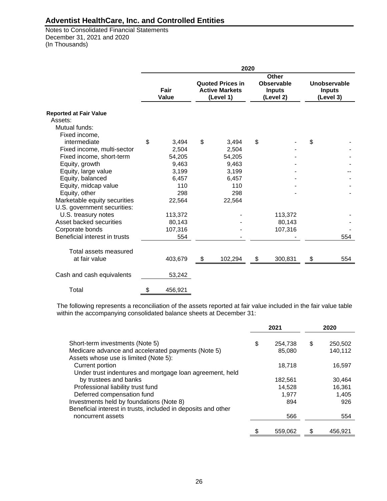Notes to Consolidated Financial Statements December 31, 2021 and 2020 (In Thousands)

|                               | 2020 |               |    |                                                               |    |                                                          |    |                                            |
|-------------------------------|------|---------------|----|---------------------------------------------------------------|----|----------------------------------------------------------|----|--------------------------------------------|
|                               |      | Fair<br>Value |    | <b>Quoted Prices in</b><br><b>Active Markets</b><br>(Level 1) |    | <b>Other</b><br>Observable<br><b>Inputs</b><br>(Level 2) |    | Unobservable<br><b>Inputs</b><br>(Level 3) |
| <b>Reported at Fair Value</b> |      |               |    |                                                               |    |                                                          |    |                                            |
| Assets:<br>Mutual funds:      |      |               |    |                                                               |    |                                                          |    |                                            |
| Fixed income,                 |      |               |    |                                                               |    |                                                          |    |                                            |
| intermediate                  | \$   | 3.494         | \$ | 3,494                                                         | \$ |                                                          | \$ |                                            |
| Fixed income, multi-sector    |      | 2.504         |    | 2.504                                                         |    |                                                          |    |                                            |
| Fixed income, short-term      |      | 54,205        |    | 54,205                                                        |    |                                                          |    |                                            |
| Equity, growth                |      | 9,463         |    | 9,463                                                         |    |                                                          |    |                                            |
| Equity, large value           |      | 3,199         |    | 3,199                                                         |    |                                                          |    |                                            |
| Equity, balanced              |      | 6,457         |    | 6,457                                                         |    |                                                          |    |                                            |
| Equity, midcap value          |      | 110           |    | 110                                                           |    |                                                          |    |                                            |
| Equity, other                 |      | 298           |    | 298                                                           |    |                                                          |    |                                            |
| Marketable equity securities  |      | 22,564        |    | 22,564                                                        |    |                                                          |    |                                            |
| U.S. government securities:   |      |               |    |                                                               |    |                                                          |    |                                            |
| U.S. treasury notes           |      | 113,372       |    |                                                               |    | 113,372                                                  |    |                                            |
| Asset backed securities       |      | 80,143        |    |                                                               |    | 80,143                                                   |    |                                            |
| Corporate bonds               |      | 107,316       |    |                                                               |    | 107,316                                                  |    |                                            |
| Beneficial interest in trusts |      | 554           |    |                                                               |    |                                                          |    | 554                                        |
| Total assets measured         |      |               |    |                                                               |    |                                                          |    |                                            |
| at fair value                 |      | 403,679       | \$ | 102,294                                                       | \$ | 300,831                                                  | \$ | 554                                        |
| Cash and cash equivalents     |      | 53,242        |    |                                                               |    |                                                          |    |                                            |
| Total                         | \$   | 456,921       |    |                                                               |    |                                                          |    |                                            |

The following represents a reconciliation of the assets reported at fair value included in the fair value table within the accompanying consolidated balance sheets at December 31:

|                                                                                                                      | 2021 |                   | 2020                     |
|----------------------------------------------------------------------------------------------------------------------|------|-------------------|--------------------------|
| Short-term investments (Note 5)<br>Medicare advance and accelerated payments (Note 5)                                | \$   | 254,738<br>85,080 | \$<br>250,502<br>140.112 |
| Assets whose use is limited (Note 5):<br>Current portion<br>Under trust indentures and mortgage loan agreement, held |      | 18,718            | 16,597                   |
| by trustees and banks                                                                                                |      | 182,561           | 30,464                   |
| Professional liability trust fund                                                                                    |      | 14,528            | 16,361                   |
| Deferred compensation fund                                                                                           |      | 1,977             | 1,405                    |
| Investments held by foundations (Note 8)<br>Beneficial interest in trusts, included in deposits and other            |      | 894               | 926                      |
| noncurrent assets                                                                                                    |      | 566               | 554                      |
|                                                                                                                      |      | 559,062           | 456.921                  |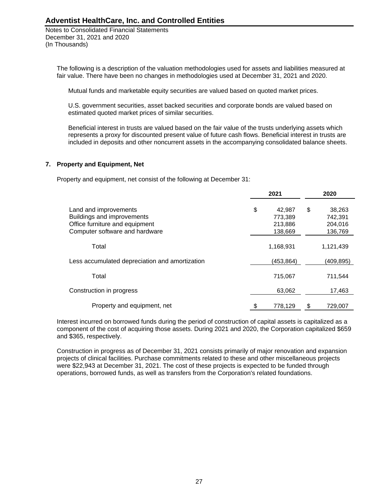Notes to Consolidated Financial Statements December 31, 2021 and 2020 (In Thousands)

The following is a description of the valuation methodologies used for assets and liabilities measured at fair value. There have been no changes in methodologies used at December 31, 2021 and 2020.

Mutual funds and marketable equity securities are valued based on quoted market prices.

U.S. government securities, asset backed securities and corporate bonds are valued based on estimated quoted market prices of similar securities.

Beneficial interest in trusts are valued based on the fair value of the trusts underlying assets which represents a proxy for discounted present value of future cash flows. Beneficial interest in trusts are included in deposits and other noncurrent assets in the accompanying consolidated balance sheets.

### **7. Property and Equipment, Net**

Property and equipment, net consist of the following at December 31:

|                                                                                                                         |  | 2021                                    | 2020                                          |
|-------------------------------------------------------------------------------------------------------------------------|--|-----------------------------------------|-----------------------------------------------|
| Land and improvements<br>Buildings and improvements<br>Office furniture and equipment<br>Computer software and hardware |  | 42.987<br>773,389<br>213,886<br>138,669 | \$<br>38,263<br>742,391<br>204,016<br>136,769 |
| Total                                                                                                                   |  | 1,168,931                               | 1,121,439                                     |
| Less accumulated depreciation and amortization                                                                          |  | (453, 864)                              | (409,895)                                     |
| Total                                                                                                                   |  | 715,067                                 | 711,544                                       |
| Construction in progress                                                                                                |  | 63,062                                  | 17,463                                        |
| Property and equipment, net                                                                                             |  | 778,129                                 | 729,007                                       |

Interest incurred on borrowed funds during the period of construction of capital assets is capitalized as a component of the cost of acquiring those assets. During 2021 and 2020, the Corporation capitalized \$659 and \$365, respectively.

Construction in progress as of December 31, 2021 consists primarily of major renovation and expansion projects of clinical facilities. Purchase commitments related to these and other miscellaneous projects were \$22,943 at December 31, 2021. The cost of these projects is expected to be funded through operations, borrowed funds, as well as transfers from the Corporation's related foundations.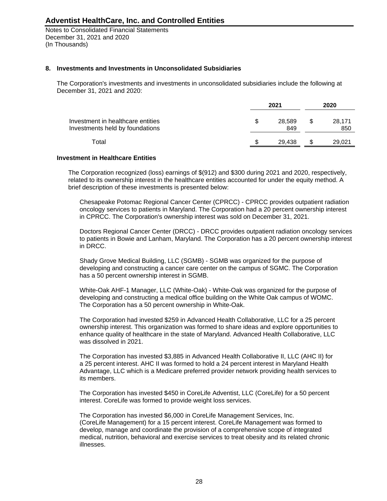Notes to Consolidated Financial Statements December 31, 2021 and 2020 (In Thousands)

#### **8. Investments and Investments in Unconsolidated Subsidiaries**

The Corporation's investments and investments in unconsolidated subsidiaries include the following at December 31, 2021 and 2020:

|                                                                      | 2021 |               |     | 2020          |  |  |
|----------------------------------------------------------------------|------|---------------|-----|---------------|--|--|
| Investment in healthcare entities<br>Investments held by foundations |      | 28.589<br>849 | \$. | 28.171<br>850 |  |  |
| Total                                                                |      | 29.438        | S   | 29.021        |  |  |

#### **Investment in Healthcare Entities**

The Corporation recognized (loss) earnings of \$(912) and \$300 during 2021 and 2020, respectively, related to its ownership interest in the healthcare entities accounted for under the equity method. A brief description of these investments is presented below:

Chesapeake Potomac Regional Cancer Center (CPRCC) - CPRCC provides outpatient radiation oncology services to patients in Maryland. The Corporation had a 20 percent ownership interest in CPRCC. The Corporation's ownership interest was sold on December 31, 2021.

Doctors Regional Cancer Center (DRCC) - DRCC provides outpatient radiation oncology services to patients in Bowie and Lanham, Maryland. The Corporation has a 20 percent ownership interest in DRCC.

Shady Grove Medical Building, LLC (SGMB) - SGMB was organized for the purpose of developing and constructing a cancer care center on the campus of SGMC. The Corporation has a 50 percent ownership interest in SGMB.

White-Oak AHF-1 Manager, LLC (White-Oak) - White-Oak was organized for the purpose of developing and constructing a medical office building on the White Oak campus of WOMC. The Corporation has a 50 percent ownership in White-Oak.

The Corporation had invested \$259 in Advanced Health Collaborative, LLC for a 25 percent ownership interest. This organization was formed to share ideas and explore opportunities to enhance quality of healthcare in the state of Maryland. Advanced Health Collaborative, LLC was dissolved in 2021.

The Corporation has invested \$3,885 in Advanced Health Collaborative II, LLC (AHC II) for a 25 percent interest. AHC II was formed to hold a 24 percent interest in Maryland Health Advantage, LLC which is a Medicare preferred provider network providing health services to its members.

The Corporation has invested \$450 in CoreLife Adventist, LLC (CoreLife) for a 50 percent interest. CoreLife was formed to provide weight loss services.

The Corporation has invested \$6,000 in CoreLife Management Services, Inc. (CoreLife Management) for a 15 percent interest. CoreLife Management was formed to develop, manage and coordinate the provision of a comprehensive scope of integrated medical, nutrition, behavioral and exercise services to treat obesity and its related chronic illnesses.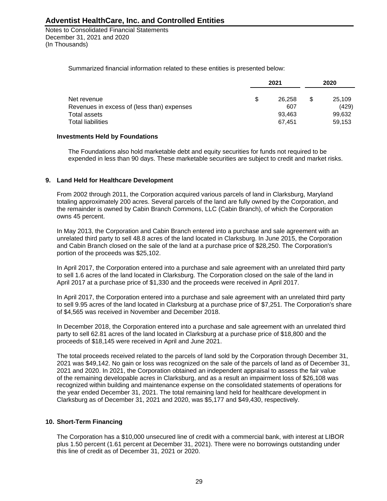Notes to Consolidated Financial Statements December 31, 2021 and 2020 (In Thousands)

Summarized financial information related to these entities is presented below:

|                                            | 2021 |        | 2020 |        |
|--------------------------------------------|------|--------|------|--------|
| Net revenue                                | S    | 26.258 | \$.  | 25,109 |
| Revenues in excess of (less than) expenses |      | 607    |      | (429)  |
| Total assets                               |      | 93.463 |      | 99,632 |
| <b>Total liabilities</b>                   |      | 67.451 |      | 59.153 |

#### **Investments Held by Foundations**

The Foundations also hold marketable debt and equity securities for funds not required to be expended in less than 90 days. These marketable securities are subject to credit and market risks.

### **9. Land Held for Healthcare Development**

From 2002 through 2011, the Corporation acquired various parcels of land in Clarksburg, Maryland totaling approximately 200 acres. Several parcels of the land are fully owned by the Corporation, and the remainder is owned by Cabin Branch Commons, LLC (Cabin Branch), of which the Corporation owns 45 percent.

In May 2013, the Corporation and Cabin Branch entered into a purchase and sale agreement with an unrelated third party to sell 48.8 acres of the land located in Clarksburg. In June 2015, the Corporation and Cabin Branch closed on the sale of the land at a purchase price of \$28,250. The Corporation's portion of the proceeds was \$25,102.

In April 2017, the Corporation entered into a purchase and sale agreement with an unrelated third party to sell 1.6 acres of the land located in Clarksburg. The Corporation closed on the sale of the land in April 2017 at a purchase price of \$1,330 and the proceeds were received in April 2017.

In April 2017, the Corporation entered into a purchase and sale agreement with an unrelated third party to sell 9.95 acres of the land located in Clarksburg at a purchase price of \$7,251. The Corporation's share of \$4,565 was received in November and December 2018.

In December 2018, the Corporation entered into a purchase and sale agreement with an unrelated third party to sell 62.81 acres of the land located in Clarksburg at a purchase price of \$18,800 and the proceeds of \$18,145 were received in April and June 2021.

The total proceeds received related to the parcels of land sold by the Corporation through December 31, 2021 was \$49,142. No gain or loss was recognized on the sale of the parcels of land as of December 31, 2021 and 2020. In 2021, the Corporation obtained an independent appraisal to assess the fair value of the remaining developable acres in Clarksburg, and as a result an impairment loss of \$26,108 was recognized within building and maintenance expense on the consolidated statements of operations for the year ended December 31, 2021. The total remaining land held for healthcare development in Clarksburg as of December 31, 2021 and 2020, was \$5,177 and \$49,430, respectively.

### **10. Short-Term Financing**

The Corporation has a \$10,000 unsecured line of credit with a commercial bank, with interest at LIBOR plus 1.50 percent (1.61 percent at December 31, 2021). There were no borrowings outstanding under this line of credit as of December 31, 2021 or 2020.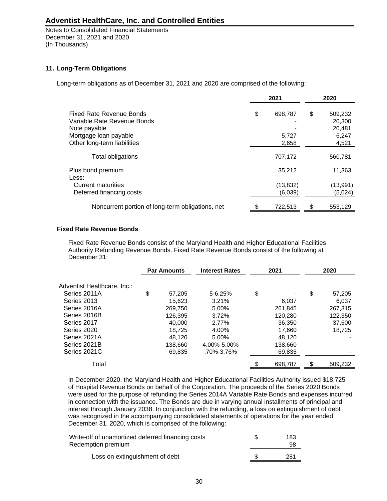Notes to Consolidated Financial Statements December 31, 2021 and 2020 (In Thousands)

### **11. Long-Term Obligations**

Long-term obligations as of December 31, 2021 and 2020 are comprised of the following:

|                                                  | 2021          | 2020 |          |  |
|--------------------------------------------------|---------------|------|----------|--|
| Fixed Rate Revenue Bonds                         | \$<br>698,787 | \$   | 509,232  |  |
| Variable Rate Revenue Bonds                      |               |      | 20,300   |  |
| Note payable                                     |               |      | 20,481   |  |
| Mortgage loan payable                            | 5,727         |      | 6,247    |  |
| Other long-term liabilities                      | 2,658         |      | 4,521    |  |
| Total obligations                                | 707,172       |      | 560,781  |  |
| Plus bond premium<br>Less:                       | 35,212        |      | 11,363   |  |
| <b>Current maturities</b>                        | (13, 832)     |      | (13,991) |  |
| Deferred financing costs                         | (6,039)       |      | (5,024)  |  |
| Noncurrent portion of long-term obligations, net | 722,513       |      | 553,129  |  |

### **Fixed Rate Revenue Bonds**

Fixed Rate Revenue Bonds consist of the Maryland Health and Higher Educational Facilities Authority Refunding Revenue Bonds. Fixed Rate Revenue Bonds consist of the following at December 31:

|              | <b>Interest Rates</b> | 2021    | 2020         |
|--------------|-----------------------|---------|--------------|
|              |                       |         |              |
| \$<br>57.205 | $5 - 6.25%$           | \$      | \$<br>57,205 |
| 15,623       | 3.21%                 | 6,037   | 6,037        |
| 269.750      | 5.00%                 | 261.845 | 267.315      |
| 126.395      | 3.72%                 | 120.280 | 122,350      |
| 40.000       | 2.77%                 | 36,350  | 37,600       |
| 18.725       | 4.00%                 | 17,660  | 18.725       |
| 48.120       | 5.00%                 | 48.120  |              |
| 138.660      | 4.00%-5.00%           | 138,660 |              |
| 69,835       | .70%-3.76%            | 69,835  |              |
|              |                       | 698,787 | 509,232      |
|              | <b>Par Amounts</b>    |         |              |

In December 2020, the Maryland Health and Higher Educational Facilities Authority issued \$18,725 of Hospital Revenue Bonds on behalf of the Corporation. The proceeds of the Series 2020 Bonds were used for the purpose of refunding the Series 2014A Variable Rate Bonds and expenses incurred in connection with the issuance. The Bonds are due in varying annual installments of principal and interest through January 2038. In conjunction with the refunding, a loss on extinguishment of debt was recognized in the accompanying consolidated statements of operations for the year ended December 31, 2020, which is comprised of the following:

| Write-off of unamortized deferred financing costs<br>Redemption premium | 183<br>98 |
|-------------------------------------------------------------------------|-----------|
| Loss on extinguishment of debt                                          | 281       |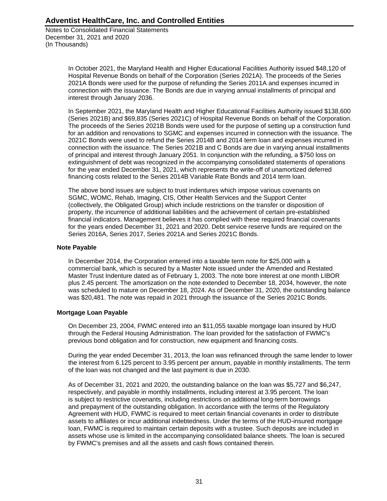Notes to Consolidated Financial Statements December 31, 2021 and 2020 (In Thousands)

> In October 2021, the Maryland Health and Higher Educational Facilities Authority issued \$48,120 of Hospital Revenue Bonds on behalf of the Corporation (Series 2021A). The proceeds of the Series 2021A Bonds were used for the purpose of refunding the Series 2011A and expenses incurred in connection with the issuance. The Bonds are due in varying annual installments of principal and interest through January 2036.

In September 2021, the Maryland Health and Higher Educational Facilities Authority issued \$138,600 (Series 2021B) and \$69,835 (Series 2021C) of Hospital Revenue Bonds on behalf of the Corporation. The proceeds of the Series 2021B Bonds were used for the purpose of setting up a construction fund for an addition and renovations to SGMC and expenses incurred in connection with the issuance. The 2021C Bonds were used to refund the Series 2014B and 2014 term loan and expenses incurred in connection with the issuance. The Series 2021B and C Bonds are due in varying annual installments of principal and interest through January 2051. In conjunction with the refunding, a \$750 loss on extinguishment of debt was recognized in the accompanying consolidated statements of operations for the year ended December 31, 2021, which represents the write-off of unamortized deferred financing costs related to the Series 2014B Variable Rate Bonds and 2014 term loan.

The above bond issues are subject to trust indentures which impose various covenants on SGMC, WOMC, Rehab, Imaging, CIS, Other Health Services and the Support Center (collectively, the Obligated Group) which include restrictions on the transfer or disposition of property, the incurrence of additional liabilities and the achievement of certain pre-established financial indicators. Management believes it has complied with these required financial covenants for the years ended December 31, 2021 and 2020. Debt service reserve funds are required on the Series 2016A, Series 2017, Series 2021A and Series 2021C Bonds.

### **Note Payable**

In December 2014, the Corporation entered into a taxable term note for \$25,000 with a commercial bank, which is secured by a Master Note issued under the Amended and Restated Master Trust Indenture dated as of February 1, 2003. The note bore interest at one month LIBOR plus 2.45 percent. The amortization on the note extended to December 18, 2034, however, the note was scheduled to mature on December 18, 2024. As of December 31, 2020, the outstanding balance was \$20,481. The note was repaid in 2021 through the issuance of the Series 2021C Bonds.

#### **Mortgage Loan Payable**

On December 23, 2004, FWMC entered into an \$11,055 taxable mortgage loan insured by HUD through the Federal Housing Administration. The loan provided for the satisfaction of FWMC's previous bond obligation and for construction, new equipment and financing costs.

During the year ended December 31, 2013, the loan was refinanced through the same lender to lower the interest from 6.125 percent to 3.95 percent per annum, payable in monthly installments. The term of the loan was not changed and the last payment is due in 2030.

As of December 31, 2021 and 2020, the outstanding balance on the loan was \$5,727 and \$6,247, respectively, and payable in monthly installments, including interest at 3.95 percent. The loan is subject to restrictive covenants, including restrictions on additional long-term borrowings and prepayment of the outstanding obligation. In accordance with the terms of the Regulatory Agreement with HUD, FWMC is required to meet certain financial covenants in order to distribute assets to affiliates or incur additional indebtedness. Under the terms of the HUD-insured mortgage loan, FWMC is required to maintain certain deposits with a trustee. Such deposits are included in assets whose use is limited in the accompanying consolidated balance sheets. The loan is secured by FWMC's premises and all the assets and cash flows contained therein.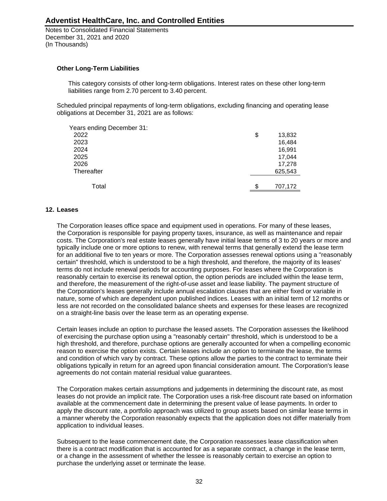Notes to Consolidated Financial Statements December 31, 2021 and 2020 (In Thousands)

### **Other Long-Term Liabilities**

This category consists of other long-term obligations. Interest rates on these other long-term liabilities range from 2.70 percent to 3.40 percent.

Scheduled principal repayments of long-term obligations, excluding financing and operating lease obligations at December 31, 2021 are as follows:

| Years ending December 31: |               |
|---------------------------|---------------|
| 2022                      | \$<br>13,832  |
| 2023                      | 16,484        |
| 2024                      | 16,991        |
| 2025                      | 17,044        |
| 2026                      | 17,278        |
| Thereafter                | 625,543       |
|                           |               |
| Total                     | \$<br>707,172 |

#### **12. Leases**

The Corporation leases office space and equipment used in operations. For many of these leases, the Corporation is responsible for paying property taxes, insurance, as well as maintenance and repair costs. The Corporation's real estate leases generally have initial lease terms of 3 to 20 years or more and typically include one or more options to renew, with renewal terms that generally extend the lease term for an additional five to ten years or more. The Corporation assesses renewal options using a "reasonably certain" threshold, which is understood to be a high threshold, and therefore, the majority of its leases' terms do not include renewal periods for accounting purposes. For leases where the Corporation is reasonably certain to exercise its renewal option, the option periods are included within the lease term, and therefore, the measurement of the right-of-use asset and lease liability. The payment structure of the Corporation's leases generally include annual escalation clauses that are either fixed or variable in nature, some of which are dependent upon published indices. Leases with an initial term of 12 months or less are not recorded on the consolidated balance sheets and expenses for these leases are recognized on a straight-line basis over the lease term as an operating expense.

Certain leases include an option to purchase the leased assets. The Corporation assesses the likelihood of exercising the purchase option using a "reasonably certain" threshold, which is understood to be a high threshold, and therefore, purchase options are generally accounted for when a compelling economic reason to exercise the option exists. Certain leases include an option to terminate the lease, the terms and condition of which vary by contract. These options allow the parties to the contract to terminate their obligations typically in return for an agreed upon financial consideration amount. The Corporation's lease agreements do not contain material residual value guarantees.

The Corporation makes certain assumptions and judgements in determining the discount rate, as most leases do not provide an implicit rate. The Corporation uses a risk-free discount rate based on information available at the commencement date in determining the present value of lease payments. In order to apply the discount rate, a portfolio approach was utilized to group assets based on similar lease terms in a manner whereby the Corporation reasonably expects that the application does not differ materially from application to individual leases.

Subsequent to the lease commencement date, the Corporation reassesses lease classification when there is a contract modification that is accounted for as a separate contract, a change in the lease term, or a change in the assessment of whether the lessee is reasonably certain to exercise an option to purchase the underlying asset or terminate the lease.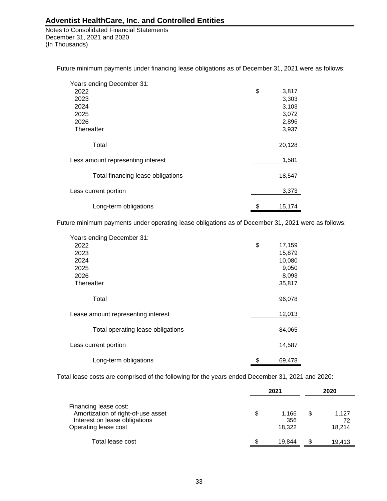Notes to Consolidated Financial Statements December 31, 2021 and 2020 (In Thousands)

Future minimum payments under financing lease obligations as of December 31, 2021 were as follows:

| Years ending December 31:         |              |
|-----------------------------------|--------------|
| 2022                              | \$<br>3,817  |
| 2023                              | 3,303        |
| 2024                              | 3,103        |
| 2025                              | 3,072        |
| 2026                              | 2,896        |
| Thereafter                        | 3,937        |
|                                   |              |
| Total                             | 20,128       |
|                                   |              |
| Less amount representing interest | 1,581        |
|                                   |              |
| Total financing lease obligations | 18,547       |
|                                   |              |
| Less current portion              | 3,373        |
|                                   |              |
| Long-term obligations             | \$<br>15,174 |

Future minimum payments under operating lease obligations as of December 31, 2021 were as follows:

| Years ending December 31:          |              |
|------------------------------------|--------------|
| 2022                               | \$<br>17,159 |
| 2023                               | 15,879       |
| 2024                               | 10,080       |
| 2025                               | 9,050        |
| 2026                               | 8,093        |
| Thereafter                         | 35,817       |
|                                    |              |
| Total                              | 96,078       |
|                                    |              |
| Lease amount representing interest | 12,013       |
|                                    |              |
| Total operating lease obligations  | 84,065       |
|                                    |              |
| Less current portion               | 14,587       |
| Long-term obligations              | \$<br>69,478 |
|                                    |              |

Total lease costs are comprised of the following for the years ended December 31, 2021 and 2020:

|                                                                                                                      | 2021<br>S<br>1.166<br>356<br>18.322 |        |   |                       |
|----------------------------------------------------------------------------------------------------------------------|-------------------------------------|--------|---|-----------------------|
| Financing lease cost:<br>Amortization of right-of-use asset<br>Interest on lease obligations<br>Operating lease cost |                                     |        | S | 1.127<br>72<br>18.214 |
| Total lease cost                                                                                                     |                                     | 19.844 |   | 19.413                |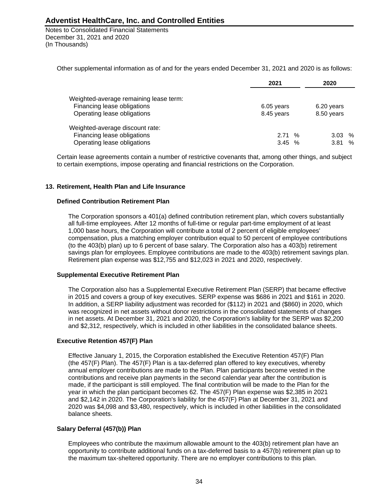Notes to Consolidated Financial Statements December 31, 2021 and 2020 (In Thousands)

Other supplemental information as of and for the years ended December 31, 2021 and 2020 is as follows:

|                                        | 2021       | 2020       |
|----------------------------------------|------------|------------|
| Weighted-average remaining lease term: |            |            |
| Financing lease obligations            | 6.05 years | 6.20 years |
| Operating lease obligations            | 8.45 years | 8.50 years |
| Weighted-average discount rate:        |            |            |
| Financing lease obligations            | $2.71\%$   | $3.03\%$   |
| Operating lease obligations            | 3.45%      | %<br>3.81  |

Certain lease agreements contain a number of restrictive covenants that, among other things, and subject to certain exemptions, impose operating and financial restrictions on the Corporation.

### **13. Retirement, Health Plan and Life Insurance**

#### **Defined Contribution Retirement Plan**

The Corporation sponsors a 401(a) defined contribution retirement plan, which covers substantially all full-time employees. After 12 months of full-time or regular part-time employment of at least 1,000 base hours, the Corporation will contribute a total of 2 percent of eligible employees' compensation, plus a matching employer contribution equal to 50 percent of employee contributions (to the 403(b) plan) up to 6 percent of base salary. The Corporation also has a 403(b) retirement savings plan for employees. Employee contributions are made to the 403(b) retirement savings plan. Retirement plan expense was \$12,755 and \$12,023 in 2021 and 2020, respectively.

#### **Supplemental Executive Retirement Plan**

The Corporation also has a Supplemental Executive Retirement Plan (SERP) that became effective in 2015 and covers a group of key executives. SERP expense was \$686 in 2021 and \$161 in 2020. In addition, a SERP liability adjustment was recorded for (\$112) in 2021 and (\$860) in 2020, which was recognized in net assets without donor restrictions in the consolidated statements of changes in net assets. At December 31, 2021 and 2020, the Corporation's liability for the SERP was \$2,200 and \$2,312, respectively, which is included in other liabilities in the consolidated balance sheets.

### **Executive Retention 457(F) Plan**

Effective January 1, 2015, the Corporation established the Executive Retention 457(F) Plan (the 457(F) Plan). The 457(F) Plan is a tax-deferred plan offered to key executives, whereby annual employer contributions are made to the Plan. Plan participants become vested in the contributions and receive plan payments in the second calendar year after the contribution is made, if the participant is still employed. The final contribution will be made to the Plan for the year in which the plan participant becomes 62. The 457(F) Plan expense was \$2,385 in 2021 and \$2,142 in 2020. The Corporation's liability for the 457(F) Plan at December 31, 2021 and 2020 was \$4,098 and \$3,480, respectively, which is included in other liabilities in the consolidated balance sheets.

### **Salary Deferral (457(b)) Plan**

Employees who contribute the maximum allowable amount to the 403(b) retirement plan have an opportunity to contribute additional funds on a tax-deferred basis to a 457(b) retirement plan up to the maximum tax-sheltered opportunity. There are no employer contributions to this plan.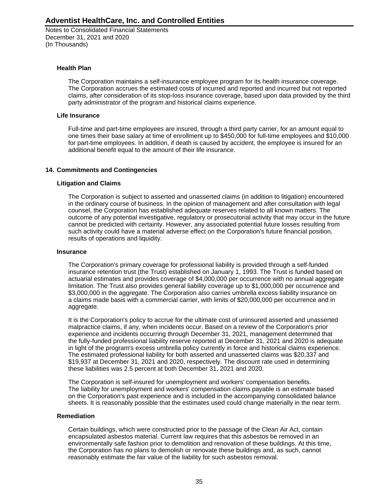Notes to Consolidated Financial Statements December 31, 2021 and 2020 (In Thousands)

### **Health Plan**

The Corporation maintains a self-insurance employee program for its health insurance coverage. The Corporation accrues the estimated costs of incurred and reported and incurred but not reported claims, after consideration of its stop-loss insurance coverage, based upon data provided by the third party administrator of the program and historical claims experience.

#### **Life Insurance**

Full-time and part-time employees are insured, through a third party carrier, for an amount equal to one times their base salary at time of enrollment up to \$450,000 for full-time employees and \$10,000 for part-time employees. In addition, if death is caused by accident, the employee is insured for an additional benefit equal to the amount of their life insurance.

### **14. Commitments and Contingencies**

### **Litigation and Claims**

The Corporation is subject to asserted and unasserted claims (in addition to litigation) encountered in the ordinary course of business. In the opinion of management and after consultation with legal counsel, the Corporation has established adequate reserves related to all known matters. The outcome of any potential investigative, regulatory or prosecutorial activity that may occur in the future cannot be predicted with certainty. However, any associated potential future losses resulting from such activity could have a material adverse effect on the Corporation's future financial position, results of operations and liquidity.

#### **Insurance**

The Corporation's primary coverage for professional liability is provided through a self-funded insurance retention trust (the Trust) established on January 1, 1993. The Trust is funded based on actuarial estimates and provides coverage of \$4,000,000 per occurrence with no annual aggregate limitation. The Trust also provides general liability coverage up to \$1,000,000 per occurrence and \$3,000,000 in the aggregate. The Corporation also carries umbrella excess liability insurance on a claims made basis with a commercial carrier, with limits of \$20,000,000 per occurrence and in aggregate.

It is the Corporation's policy to accrue for the ultimate cost of uninsured asserted and unasserted malpractice claims, if any, when incidents occur. Based on a review of the Corporation's prior experience and incidents occurring through December 31, 2021, management determined that the fully-funded professional liability reserve reported at December 31, 2021 and 2020 is adequate in light of the program's excess umbrella policy currently in force and historical claims experience. The estimated professional liability for both asserted and unasserted claims was \$20,337 and \$19,937 at December 31, 2021 and 2020, respectively. The discount rate used in determining these liabilities was 2.5 percent at both December 31, 2021 and 2020.

The Corporation is self-insured for unemployment and workers' compensation benefits. The liability for unemployment and workers' compensation claims payable is an estimate based on the Corporation's past experience and is included in the accompanying consolidated balance sheets. It is reasonably possible that the estimates used could change materially in the near term.

#### **Remediation**

Certain buildings, which were constructed prior to the passage of the Clean Air Act, contain encapsulated asbestos material. Current law requires that this asbestos be removed in an environmentally safe fashion prior to demolition and renovation of these buildings. At this time, the Corporation has no plans to demolish or renovate these buildings and, as such, cannot reasonably estimate the fair value of the liability for such asbestos removal.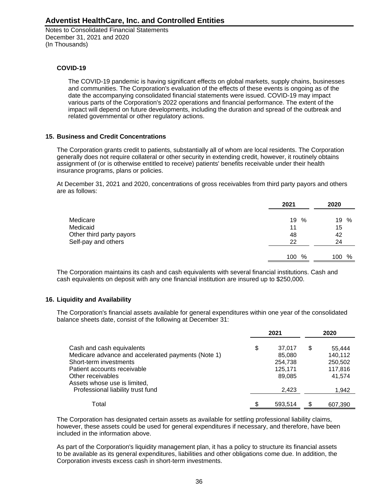Notes to Consolidated Financial Statements December 31, 2021 and 2020 (In Thousands)

### **COVID-19**

The COVID-19 pandemic is having significant effects on global markets, supply chains, businesses and communities. The Corporation's evaluation of the effects of these events is ongoing as of the date the accompanying consolidated financial statements were issued. COVID-19 may impact various parts of the Corporation's 2022 operations and financial performance. The extent of the impact will depend on future developments, including the duration and spread of the outbreak and related governmental or other regulatory actions.

### **15. Business and Credit Concentrations**

The Corporation grants credit to patients, substantially all of whom are local residents. The Corporation generally does not require collateral or other security in extending credit, however, it routinely obtains assignment of (or is otherwise entitled to receive) patients' benefits receivable under their health insurance programs, plans or policies.

At December 31, 2021 and 2020, concentrations of gross receivables from third party payors and others are as follows:

|                          | 2021        | 2020     |
|--------------------------|-------------|----------|
| Medicare                 | 19<br>%     | 19<br>%  |
| Medicaid                 | 11          | 15       |
| Other third party payors | 48          | 42       |
| Self-pay and others      | 22          | 24       |
|                          | $\%$<br>100 | %<br>100 |

The Corporation maintains its cash and cash equivalents with several financial institutions. Cash and cash equivalents on deposit with any one financial institution are insured up to \$250,000.

### **16. Liquidity and Availability**

The Corporation's financial assets available for general expenditures within one year of the consolidated balance sheets date, consist of the following at December 31:

|                                                    |   | 2021    |   | 2020    |
|----------------------------------------------------|---|---------|---|---------|
| Cash and cash equivalents                          | S | 37.017  | S | 55,444  |
| Medicare advance and accelerated payments (Note 1) |   | 85,080  |   | 140,112 |
| Short-term investments                             |   | 254,738 |   | 250,502 |
| Patient accounts receivable                        |   | 125.171 |   | 117,816 |
| Other receivables                                  |   | 89.085  |   | 41.574  |
| Assets whose use is limited,                       |   |         |   |         |
| Professional liability trust fund                  |   | 2,423   |   | 1,942   |
| Total                                              |   | 593.514 |   | 607,390 |

The Corporation has designated certain assets as available for settling professional liability claims, however, these assets could be used for general expenditures if necessary, and therefore, have been included in the information above.

As part of the Corporation's liquidity management plan, it has a policy to structure its financial assets to be available as its general expenditures, liabilities and other obligations come due. In addition, the Corporation invests excess cash in short-term investments.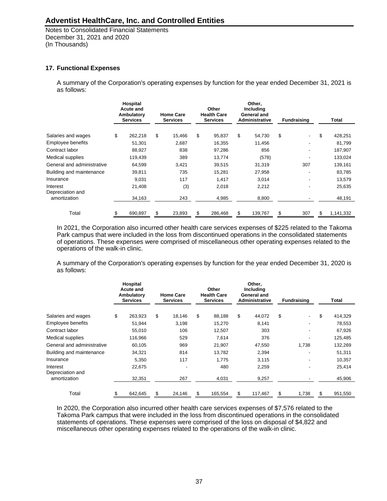Notes to Consolidated Financial Statements December 31, 2021 and 2020 (In Thousands)

### **17. Functional Expenses**

A summary of the Corporation's operating expenses by function for the year ended December 31, 2021 is as follows:

|                              | Hospital<br><b>Acute and</b><br>Ambulatory<br><b>Services</b> |         | <b>Home Care</b><br><b>Services</b> |        |        | Other<br><b>Health Care</b><br><b>Services</b> |        | Other.<br>Including<br>General and<br><b>Administrative</b> |     | <b>Fundraising</b> | <b>Total</b>    |
|------------------------------|---------------------------------------------------------------|---------|-------------------------------------|--------|--------|------------------------------------------------|--------|-------------------------------------------------------------|-----|--------------------|-----------------|
| Salaries and wages           | \$                                                            | 262,218 | \$                                  | 15.466 |        | 95,837                                         | \$     | 54,730                                                      | \$  |                    | \$<br>428,251   |
| Employee benefits            |                                                               | 51,301  |                                     | 2,687  |        | 16,355                                         |        | 11,456                                                      |     |                    | 81,799          |
| Contract labor               |                                                               | 88,927  |                                     | 838    |        | 97,286                                         |        | 856                                                         |     |                    | 187,907         |
| Medical supplies             |                                                               | 119,439 |                                     | 389    |        | 13,774                                         |        | (578)                                                       |     |                    | 133,024         |
| General and administrative   |                                                               | 64,599  |                                     | 3,421  | 39,515 |                                                | 31,319 |                                                             | 307 | 139,161            |                 |
| Building and maintenance     |                                                               | 39,811  |                                     | 735    | 15,281 |                                                | 27,958 |                                                             |     |                    | 83,785          |
| Insurance                    |                                                               | 9,031   |                                     | 117    |        | 1,417                                          |        | 3,014                                                       |     |                    | 13,579          |
| Interest<br>Depreciation and |                                                               | 21,408  |                                     | (3)    |        | 2,018                                          |        | 2,212                                                       |     |                    | 25,635          |
| amortization                 |                                                               | 34,163  |                                     | 243    |        | 4,985                                          |        | 8,800                                                       |     |                    | 48,191          |
| Total                        | \$                                                            | 690,897 |                                     | 23,893 | S      | 286,468                                        | S      | 139,767                                                     | \$  | 307                | \$<br>1,141,332 |

In 2021, the Corporation also incurred other health care services expenses of \$225 related to the Takoma Park campus that were included in the loss from discontinued operations in the consolidated statements of operations. These expenses were comprised of miscellaneous other operating expenses related to the operations of the walk-in clinic.

A summary of the Corporation's operating expenses by function for the year ended December 31, 2020 is as follows:

|                              | Hospital<br><b>Acute and</b><br>Ambulatory<br><b>Services</b> | <b>Home Care</b><br><b>Services</b> |    | Other<br><b>Health Care</b><br><b>Services</b> | Other.<br>Including<br>General and<br><b>Administrative</b> |    | <b>Fundraising</b> | Total         |
|------------------------------|---------------------------------------------------------------|-------------------------------------|----|------------------------------------------------|-------------------------------------------------------------|----|--------------------|---------------|
| Salaries and wages           | \$<br>263.923                                                 | \$<br>18.146                        | \$ | 88,188                                         | \$<br>44,072                                                | \$ |                    | \$<br>414,329 |
| Employee benefits            | 51,944                                                        | 3,198                               |    | 15,270                                         | 8,141                                                       |    | ٠                  | 78,553        |
| Contract labor               | 55,010                                                        | 106                                 |    | 12,507                                         | 303                                                         |    |                    | 67,926        |
| Medical supplies             | 116,966                                                       | 529                                 |    | 7,614                                          | 376                                                         |    |                    | 125,485       |
| General and administrative   | 60,105                                                        | 969                                 |    | 21,907                                         | 47,550                                                      |    | 1,738              | 132,269       |
| Building and maintenance     | 34,321                                                        | 814                                 |    | 13,782                                         | 2,394                                                       |    |                    | 51,311        |
| Insurance                    | 5,350                                                         | 117                                 |    | 1,775                                          | 3,115                                                       |    |                    | 10,357        |
| Interest<br>Depreciation and | 22,675                                                        |                                     |    | 480                                            | 2,259                                                       |    |                    | 25,414        |
| amortization                 | 32,351                                                        | 267                                 |    | 4,031                                          | 9,257                                                       |    |                    | 45,906        |
| Total                        | \$<br>642,645                                                 | 24,146                              | \$ | 165,554                                        | \$<br>117,467                                               | \$ | 1,738              | \$<br>951,550 |

In 2020, the Corporation also incurred other health care services expenses of \$7,576 related to the Takoma Park campus that were included in the loss from discontinued operations in the consolidated statements of operations. These expenses were comprised of the loss on disposal of \$4,822 and miscellaneous other operating expenses related to the operations of the walk-in clinic.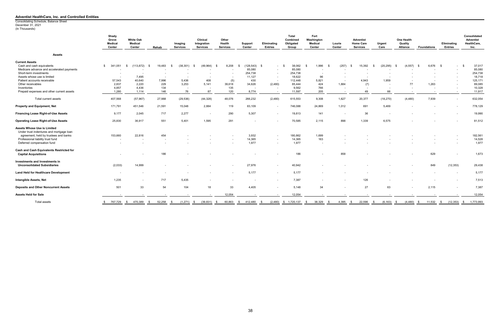(In Thousands)

|                                                                                | Shady<br>Grove<br><b>Medical</b><br>Center | <b>White Oak</b><br><b>Medical</b><br>Center | Rehab                  | Imaging<br><b>Services</b>   | <b>Clinical</b><br>Integration<br><b>Services</b> | Other<br>Health<br><b>Services</b> | Support<br>Center | Eliminating<br><b>Entries</b> | Total<br>Combined<br>Obligated<br>Group | Fort<br>Washington<br>Medical<br>Center | Lourie<br>Center | <b>Adventist</b><br><b>Home Care</b><br><b>Services</b> | Urgent<br>Care           | One Health<br>Quality<br>Alliance | <b>Foundations</b> | Eliminating<br><b>Entries</b> | Consolidated<br><b>Adventist</b><br>HealthCare,<br>Inc. |
|--------------------------------------------------------------------------------|--------------------------------------------|----------------------------------------------|------------------------|------------------------------|---------------------------------------------------|------------------------------------|-------------------|-------------------------------|-----------------------------------------|-----------------------------------------|------------------|---------------------------------------------------------|--------------------------|-----------------------------------|--------------------|-------------------------------|---------------------------------------------------------|
| <b>Assets</b>                                                                  |                                            |                                              |                        |                              |                                                   |                                    |                   |                               |                                         |                                         |                  |                                                         |                          |                                   |                    |                               |                                                         |
| <b>Current Assets</b>                                                          |                                            |                                              |                        |                              |                                                   |                                    |                   |                               |                                         |                                         |                  |                                                         |                          |                                   |                    |                               |                                                         |
| Cash and cash equivalents                                                      | 341,051<br>S.                              | (113, 872)<br>- \$                           | 19,483<br>- 9          | (38, 301)<br>- \$            | (49, 964)                                         | 8,208                              | $(128, 543)$ \$   | $\sim$                        | 38,062<br><b>S</b>                      | 1,996                                   | (257)            | 15,392<br>- \$                                          | (20, 295)<br>- \$        | (4, 557)<br>- \$                  | 6,676 \$<br>- \$   | $\blacksquare$                | 37,017<br>- \$                                          |
| Medicare advance and accelerated payments                                      |                                            |                                              |                        |                              |                                                   |                                    | 85,080            |                               | 85,080                                  |                                         |                  |                                                         |                          |                                   |                    |                               | 85,080                                                  |
| Short-term investments                                                         | $\sim$                                     |                                              |                        |                              |                                                   |                                    | 254,738           |                               | 254,738                                 | $\overline{\phantom{a}}$                |                  |                                                         |                          |                                   |                    |                               | 254,738                                                 |
| Assets whose use is limited                                                    | $\overline{\phantom{a}}$                   | 7,495                                        |                        |                              |                                                   |                                    | 11,127            |                               | 18,622                                  | 96                                      |                  |                                                         |                          |                                   |                    |                               | 18,718                                                  |
| Patient accounts receivable                                                    | 57,543                                     | 40.640                                       | 7.996                  | 5,436                        | 408                                               | (5)                                | 430               |                               | 112,448                                 | 5,821                                   | $\sim$           | 4.943                                                   | 1,959                    |                                   |                    |                               | 125,171                                                 |
| Other receivables                                                              | 2,837                                      | 2,220                                        | 229                    | 3,253                        | 5,141                                             | 39,618                             | 34,626            | (2,480)                       | 85,444                                  | 424                                     | 1,884            | (7)                                                     | $\overline{\phantom{a}}$ | 77                                | 1,263              | $\overline{\phantom{a}}$      | 89,085                                                  |
| Inventories                                                                    | 4,857                                      | 4,436                                        | 134                    |                              |                                                   | 135                                |                   |                               | 9,562                                   | 766                                     |                  |                                                         |                          |                                   |                    |                               | 10,328                                                  |
| Prepaid expenses and other current assets                                      | 1,280                                      | 1,114                                        | 146                    | 76                           | 87                                                | 120                                | 8,774             | $\overline{\phantom{a}}$      | 11,597                                  | 205                                     | $\sim$           | 49                                                      | 66                       |                                   |                    | $\overline{\phantom{a}}$      | 11,917                                                  |
| Total current assets                                                           | 407,568                                    | (57, 967)                                    | 27,988                 | (29, 536)                    | (44, 328)                                         | 48,076                             | 266,232           | (2,480)                       | 615,553                                 | 9,308                                   | 1,627            | 20,377                                                  | (18, 270)                | (4, 480)                          | 7,939              | $\overline{\phantom{a}}$      | 632,054                                                 |
| <b>Property and Equipment, Net</b>                                             | 171,791                                    | 451,546                                      | 21,591                 | 15,048                       | 2,884                                             | 119                                | 83,109            |                               | 746,088                                 | 24,869                                  | 1,012            | 691                                                     | 5,469                    |                                   |                    |                               | 778,129                                                 |
| <b>Financing Lease Right-of-Use Assets</b>                                     | 9,177                                      | 2,045                                        | 717                    | 2,277                        | $\overline{\phantom{a}}$                          | 290                                | 5,307             |                               | 19,813                                  | 141                                     | $\sim$           | 36                                                      |                          |                                   |                    |                               | 19,990                                                  |
| <b>Operating Lease Right-of-Use Assets</b>                                     | 25,830                                     | 36,917                                       | 551                    | 5,401                        | 1,595                                             | 291                                |                   |                               | 70,585                                  | 2,115                                   | 898              | 1,339                                                   | 6,575                    |                                   |                    |                               | 81,512                                                  |
| <b>Assets Whose Use is Limited</b><br>Under trust indentures and mortgage loan |                                            |                                              |                        |                              |                                                   |                                    |                   |                               |                                         |                                         |                  |                                                         |                          |                                   |                    |                               |                                                         |
| agreement, held by trustees and banks                                          | 153,660                                    | 22,816                                       | 454                    |                              |                                                   |                                    | 3,932             | $\overline{\phantom{a}}$      | 180,862                                 | 1,699                                   |                  |                                                         |                          |                                   |                    |                               | 182,561                                                 |
| Professional liability trust fund                                              | $\overline{\phantom{a}}$                   |                                              |                        |                              |                                                   |                                    | 14,365            |                               | 14,365                                  | 163                                     |                  |                                                         |                          |                                   |                    |                               | 14,528                                                  |
| Deferred compensation fund                                                     |                                            |                                              |                        |                              |                                                   |                                    | 1,977             |                               | 1,977                                   | $\overline{\phantom{0}}$                |                  |                                                         |                          |                                   |                    |                               | 1,977                                                   |
| Cash and Cash Equivalents Restricted for<br><b>Capital Acquisitions</b>        |                                            |                                              | 186                    |                              |                                                   |                                    |                   |                               | 186                                     |                                         | 858              |                                                         |                          |                                   | 629                |                               | 1,673                                                   |
| <b>Investments and Investments in</b><br><b>Unconsolidated Subsidiaries</b>    | (2,033)                                    | 14,999                                       |                        |                              |                                                   |                                    | 27,976            |                               | 40,942                                  |                                         |                  |                                                         |                          |                                   | 849                | (12, 353)                     | 29,438                                                  |
| <b>Land Held for Healthcare Development</b>                                    | $\overline{\phantom{a}}$                   |                                              |                        |                              |                                                   |                                    | 5,177             |                               | 5,177                                   |                                         |                  |                                                         |                          |                                   |                    |                               | 5,177                                                   |
| Intangible Assets, Net                                                         | 1,235                                      | $\overline{\phantom{a}}$                     | 717                    | 5,435                        |                                                   |                                    |                   | $\overline{\phantom{0}}$      | 7,387                                   |                                         |                  | 126                                                     |                          |                                   |                    | $\overline{\phantom{a}}$      | 7,513                                                   |
| <b>Deposits and Other Noncurrent Assets</b>                                    | 501                                        | 33                                           | 54                     | 104                          | 18                                                | 33                                 | 4,405             |                               | 5,148                                   | 34                                      |                  | 27                                                      | 63                       |                                   | 2,115              | $\sim$                        | 7,387                                                   |
| <b>Assets Held for Sale</b>                                                    |                                            |                                              |                        |                              |                                                   | 12,054                             |                   |                               | 12,054                                  |                                         |                  |                                                         |                          |                                   |                    |                               | 12,054                                                  |
| Total assets                                                                   | \$ 767,729 \$ 470,389                      |                                              | 52,258<br>$\mathbb{S}$ | $(1,271)$ \$<br>$\mathbb{S}$ | $(39,831)$ \$                                     | 60,863                             | $$412,480$ \$     |                               | $(2,480)$ \$ 1,720,137                  | 38,329<br>- \$                          | 4,395<br>- \$    | 22,596<br>$\sqrt{3}$                                    | $(6, 163)$ \$<br>\$      | $(4,480)$ \$                      | $11,532$ \$        | $(12,353)$ \$                 | 1,773,993                                               |

#### **Adventist HealthCare, Inc. and Controlled Entities**

Consolidating Schedule, Balance Sheet December 31, 2021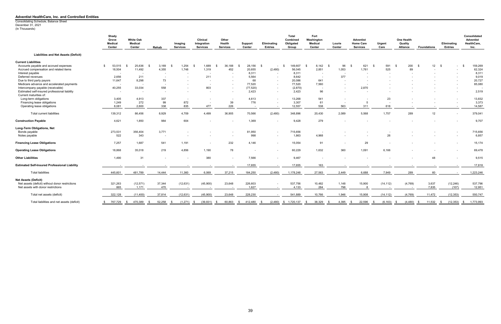(In Thousands) Consolidating Schedule, Balance Sheet December 31, 2021

#### **Adventist HealthCare, Inc. and Controlled Entities**

|                                                      | Shady<br>Grove<br><b>Medical</b><br>Center | <b>White Oak</b><br><b>Medical</b><br>Center | Rehab          | Imaging<br><b>Services</b> | Clinical<br>Integration<br><b>Services</b> | Other<br>Health<br><b>Services</b> | Support<br>Center        | Eliminating<br><b>Entries</b> | Total<br>Combined<br>Obligated<br>Group | Fort<br>Washington<br>Medical<br>Center | Lourie<br><b>Center</b>  | <b>Adventist</b><br><b>Home Care</b><br><b>Services</b> | Urgent<br>Care           | One Health<br>Quality<br><b>Alliance</b> | <b>Foundations</b> | Eliminating<br><b>Entries</b> | Consolidated<br><b>Adventist</b><br>HealthCare,<br>Inc. |
|------------------------------------------------------|--------------------------------------------|----------------------------------------------|----------------|----------------------------|--------------------------------------------|------------------------------------|--------------------------|-------------------------------|-----------------------------------------|-----------------------------------------|--------------------------|---------------------------------------------------------|--------------------------|------------------------------------------|--------------------|-------------------------------|---------------------------------------------------------|
| <b>Liabilities and Net Assets (Deficit)</b>          |                                            |                                              |                |                            |                                            |                                    |                          |                               |                                         |                                         |                          |                                                         |                          |                                          |                    |                               |                                                         |
| <b>Current Liabilities</b>                           |                                            |                                              |                |                            |                                            |                                    |                          |                               |                                         |                                         |                          |                                                         |                          |                                          |                    |                               |                                                         |
| Accounts payable and accrued expenses                | 53,515<br>$\mathbf{\$}$                    | 25,636                                       | 3,169          | 1,254                      | 1,689                                      | 36,188<br>- \$                     | 28,156                   | - \$                          | 149,607<br>- \$                         | 8,142                                   | 96                       | 621                                                     | 591                      | 200<br>- \$                              | $12 \quad$ \$      | $\sim$                        | 159,269<br>- \$                                         |
| Accrued compensation and related items               | 18,504                                     | 11,492                                       | 4,355          | 1,748                      | 1,319                                      | 452                                | 20,655                   | (2,480)                       | 56,045                                  | 2,851                                   | 1,053                    | 1,761                                                   | 525                      | 89                                       |                    |                               | 62,324                                                  |
| Interest payable                                     |                                            |                                              |                |                            |                                            |                                    | 8,311                    |                               | 8,311                                   |                                         |                          |                                                         |                          |                                          |                    |                               | 8,311                                                   |
| Deferred revenues                                    | 2,656                                      | 211                                          |                |                            | 211                                        |                                    | 5,564                    |                               | 8,642                                   |                                         | 377                      |                                                         |                          |                                          |                    |                               | 9,019                                                   |
| Due to third party payors                            | 11,647                                     | 8,298                                        | 73             |                            | $\overline{\phantom{a}}$                   |                                    | 68                       |                               | 20,086                                  | 641                                     | $\overline{\phantom{a}}$ | $\overline{\phantom{a}}$                                |                          |                                          |                    |                               | 20,727                                                  |
| Medicare advance and accelerated payments            | $\sim$                                     |                                              |                |                            |                                            |                                    | 77,520                   |                               | 77,520                                  | 7,560                                   |                          |                                                         |                          |                                          |                    |                               | 85,080                                                  |
| Intercompany payable (receivable)                    | 40,255                                     | 33,034                                       | 558            |                            | 803                                        | $\sim$                             | (77, 520)                |                               | (2,870)                                 | $\overline{\phantom{a}}$                | $\sim$                   | 2,870                                                   |                          |                                          |                    | $\overline{\phantom{a}}$      |                                                         |
| Estimated self-insured professional liability        | $\sim$                                     |                                              |                |                            |                                            |                                    | 2,423                    |                               | 2,423                                   | 96                                      |                          |                                                         |                          |                                          |                    |                               | 2,519                                                   |
| Current maturities of:                               |                                            |                                              |                |                            |                                            |                                    |                          |                               |                                         |                                         |                          |                                                         |                          |                                          |                    |                               |                                                         |
| Long-term obligations                                | 3,405                                      | 4,913                                        | 337            | $\overline{a}$             | $\overline{\phantom{a}}$                   | $\overline{\phantom{a}}$           | 4,613                    |                               | 13,268                                  | 541                                     |                          |                                                         | 23                       |                                          |                    | $\overline{\phantom{a}}$      | 13,832                                                  |
| Financing lease obligations                          | 1,249                                      | 272                                          | 99             | 872                        | $\overline{\phantom{a}}$                   | 39                                 | 776                      |                               | 3,307                                   | 61                                      | $\overline{\phantom{a}}$ | $5^{\circ}$                                             | $\overline{\phantom{a}}$ |                                          |                    |                               | 3,373                                                   |
| Operating lease obligations                          | 8,081                                      | 2,600                                        | 338            | 835                        | 477                                        | 226                                | $\overline{\phantom{a}}$ |                               | 12,557                                  | 538                                     | 563                      | 311                                                     | 618                      |                                          |                    |                               | 14,587                                                  |
| Total current liabilities                            | 139,312                                    | 86,456                                       | 8,929          | 4,709                      | 4,499                                      | 36,905                             | 70,566                   | (2,480)                       | 348,896                                 | 20,430                                  | 2,089                    | 5,568                                                   | 1,757                    | 289                                      | 12 <sup>°</sup>    | $\overline{\phantom{a}}$      | 379,041                                                 |
| <b>Construction Payable</b>                          | 4,621                                      | 1,850                                        | 984            | 604                        |                                            |                                    | 1,369                    |                               | 9,428                                   | 279                                     |                          |                                                         |                          |                                          |                    |                               | 9,707                                                   |
| Long-Term Obligations, Net                           |                                            |                                              |                |                            |                                            |                                    |                          |                               |                                         |                                         |                          |                                                         |                          |                                          |                    |                               |                                                         |
| Bonds payable                                        | 273,531                                    | 356,404                                      | 3,771          |                            |                                            |                                    | 81,950                   | $\overline{\phantom{a}}$      | 715,656                                 |                                         |                          |                                                         |                          |                                          |                    | $\sim$                        | 715,656                                                 |
| Notes payable                                        | 522                                        | 343                                          | $\sim$         |                            |                                            |                                    | 998                      |                               | 1,863                                   | 4,968                                   |                          |                                                         | 26                       |                                          |                    | $\sim$                        | 6,857                                                   |
| <b>Financing Lease Obligations</b>                   | 7,257                                      | 1,687                                        | 541            | 1,191                      | $\overline{\phantom{a}}$                   | 232                                | 4,146                    |                               | 15,054                                  | 91                                      |                          | 29                                                      |                          |                                          |                    |                               | 15,174                                                  |
| <b>Operating Lease Obligations</b>                   | 18,868                                     | 35,018                                       | 219            | 4,856                      | 1,190                                      | 78                                 |                          |                               | 60,229                                  | 1,632                                   | 360                      | 1,091                                                   | 6,166                    |                                          |                    |                               | 69,478                                                  |
| <b>Other Liabilities</b>                             | 1,490                                      | 31                                           |                |                            | 380                                        | $\overline{\phantom{a}}$           | 7,566                    |                               | 9,467                                   |                                         |                          |                                                         |                          |                                          | 48                 | $\overline{\phantom{a}}$      | 9,515                                                   |
| <b>Estimated Self-Insured Professional Liability</b> |                                            |                                              |                |                            |                                            |                                    | 17,655                   |                               | 17,655                                  | 163                                     |                          |                                                         |                          |                                          |                    |                               | 17,818                                                  |
| <b>Total liabilities</b>                             | 445,601                                    | 481,789                                      | 14,444         | 11,360                     | 6,069                                      | 37,215                             | 184,250                  | (2,480)                       | 1,178,248                               | 27,563                                  | 2,449                    | 6,688                                                   | 7,949                    | 289                                      | 60                 |                               | 1,223,246                                               |
| <b>Net Assets (Deficit)</b>                          |                                            |                                              |                |                            |                                            |                                    |                          |                               |                                         |                                         |                          |                                                         |                          |                                          |                    |                               |                                                         |
| Net assets (deficit) without donor restrictions      | 321,263                                    | (12, 571)                                    | 37,344         | (12, 631)                  | (45,900)                                   | 23,648                             | 226,603                  |                               | 537,756                                 | 10,482                                  | 1,148                    | 15,900                                                  | (14, 112)                | (4,769)                                  | 3,637              | (12, 246)                     | 537,796                                                 |
| Net assets with donor restrictions                   | 865                                        | 1,171                                        | 470            |                            |                                            |                                    | 1,627                    |                               | 4,133                                   | 284                                     | 798                      |                                                         |                          |                                          | 7,835              | (107)                         | 12,951                                                  |
| Total net assets (deficit)                           | 322,128                                    | (11, 400)                                    | 37,814         | (12, 631)                  | (45,900)                                   | 23,648                             | 228,230                  |                               | 541,889                                 | 10,766                                  | 1,946                    | 15,908                                                  | (14, 112)                | (4,769)                                  | 11,472             | (12, 353)                     | 550,747                                                 |
| Total liabilities and net assets (deficit)           | 767,729<br>\$                              | 470,389<br>- S                               | 52,258<br>- \$ | (1,271)<br>\$              | (39, 831)<br>$^{\circ}$                    | 60,863<br>- \$                     | 412,480<br>- \$          | (2,480)<br>\$                 | \$ 1,720,137                            | 38,329<br>- SS                          | 4,395<br>- \$            | 22,596<br><b>S</b>                                      | (6, 163)<br>- \$         | (4, 480)<br>$^{\circ}$                   | 11,532<br>- \$     | (12, 353)<br>\$               | 1,773,993<br>\$                                         |